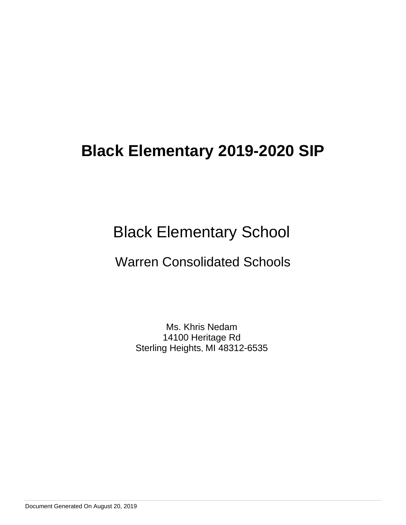# Black Elementary School

## Warren Consolidated Schools

Ms. Khris Nedam 14100 Heritage Rd Sterling Heights, MI 48312-6535

Document Generated On August 20, 2019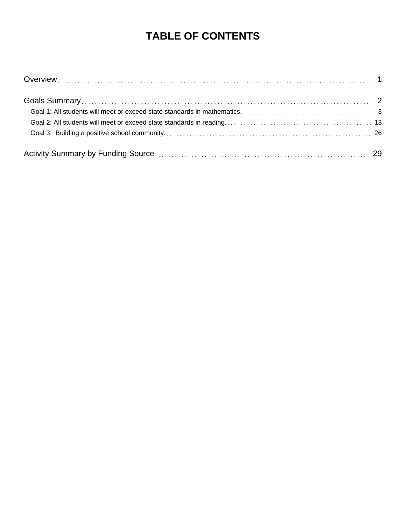## **TABLE OF CONTENTS**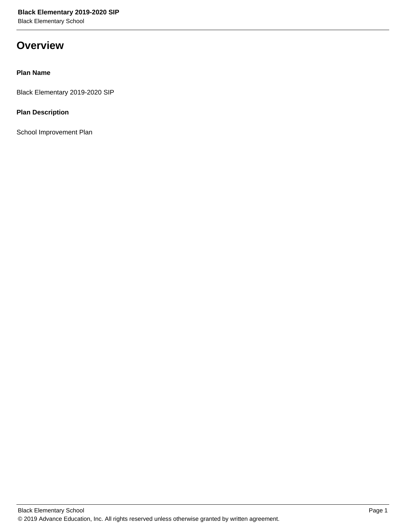Black Elementary School

## **Overview**

#### **Plan Name**

Black Elementary 2019-2020 SIP

### **Plan Description**

School Improvement Plan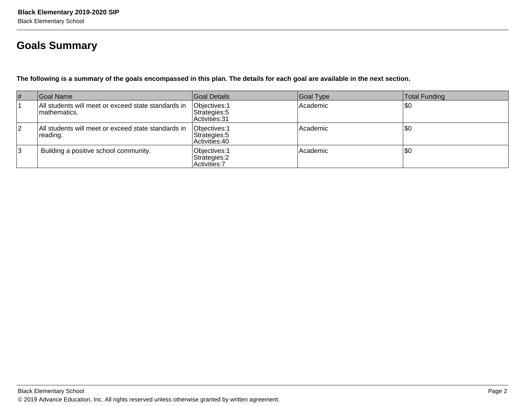## **Goals Summary**

**The following is a summary of the goals encompassed in this plan. The details for each goal are available in the next section.**

| # | Goal Name                                                            | Goal Details                                           | Goal Type | Total Funding |
|---|----------------------------------------------------------------------|--------------------------------------------------------|-----------|---------------|
|   | All students will meet or exceed state standards in<br>Imathematics. | Objectives: 1<br>Strategies: 5<br>Activities: 31       | Academic  | \$0           |
| 2 | All students will meet or exceed state standards in<br>reading.      | Objectives: 1<br>Strategies: 5<br>Activities: 40       | Academic  | \$0           |
| 3 | Building a positive school community.                                | Objectives: 1<br>Strategies: 2<br><b>Activities: 7</b> | Academic  | \$0           |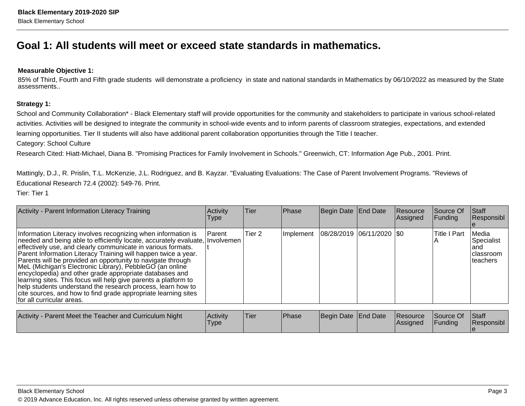## **Goal 1: All students will meet or exceed state standards in mathematics.**

#### **Measurable Objective 1:**

85% of Third, Fourth and Fifth grade students will demonstrate a proficiency in state and national standards in Mathematics by 06/10/2022 as measured by the Stateassessments..

#### **Strategy 1:**

School and Community Collaboration\* - Black Elementary staff will provide opportunities for the community and stakeholders to participate in various school-related activities. Activities will be designed to integrate the community in school-wide events and to inform parents of classroom strategies, expectations, and extendedlearning opportunities. Tier II students will also have additional parent collaboration opportunities through the Title I teacher.

Category: School Culture

Research Cited: Hiatt-Michael, Diana B. "Promising Practices for Family Involvement in Schools." Greenwich, CT: Information Age Pub., 2001. Print.

Mattingly, D.J., R. Prislin, T.L. McKenzie, J.L. Rodriguez, and B. Kayzar. "Evaluating Evaluations: The Case of Parent Involvement Programs. "Reviews ofEducational Research 72.4 (2002): 549-76. Print.

Tier: Tier 1

| Activity - Parent Information Literacy Training                                                                                                                                                                                                                                                                                                                                                                                                                                                                                                                                                                                                                                                        | Activity<br>Type | Tier   | Phase | Begin Date End Date                       | Resource<br>Assigned | Source Of<br>Funding | <b>Staff</b><br>Responsibl                             |
|--------------------------------------------------------------------------------------------------------------------------------------------------------------------------------------------------------------------------------------------------------------------------------------------------------------------------------------------------------------------------------------------------------------------------------------------------------------------------------------------------------------------------------------------------------------------------------------------------------------------------------------------------------------------------------------------------------|------------------|--------|-------|-------------------------------------------|----------------------|----------------------|--------------------------------------------------------|
| Information Literacy involves recognizing when information is<br>needed and being able to efficiently locate, accurately evaluate, Involvemen<br>effectively use, and clearly communicate in various formats.<br>Parent Information Literacy Training will happen twice a year.<br>Parents will be provided an opportunity to navigate through<br>MeL (Michigan's Electronic Library), PebbleGO (an online<br>encyclopedia) and other grade appropriate databases and<br>learning sites. This focus will help give parents a platform to<br>help students understand the research process, learn how to<br>cite sources, and how to find grade appropriate learning sites<br>for all curricular areas. | <b>IParent</b>   | Tier 2 |       | Implement   08/28/2019   06/11/2020   \$0 |                      | <b>Title I Part</b>  | Media<br>Specialist<br>land<br>Iclassroom<br>Iteachers |
|                                                                                                                                                                                                                                                                                                                                                                                                                                                                                                                                                                                                                                                                                                        |                  |        |       |                                           |                      |                      |                                                        |

| Activity - Parent Meet the Teacher and Curriculum Night | Activity<br>Type. | 'Tier | <b>Phase</b> | Begin Date End Date | Resource<br> Assigned | Source Of<br>Funding | <b>Staff</b><br>Responsibl |
|---------------------------------------------------------|-------------------|-------|--------------|---------------------|-----------------------|----------------------|----------------------------|
|                                                         |                   |       |              |                     |                       |                      |                            |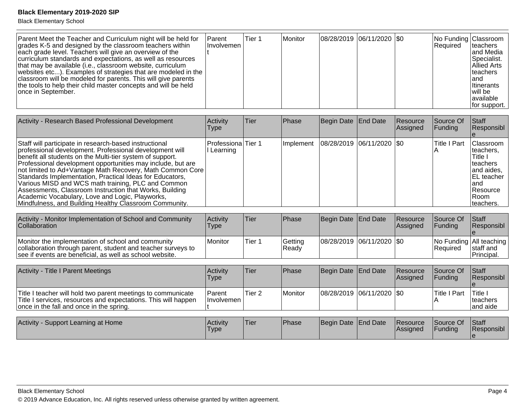| Parent Meet the Teacher and Curriculum night will be held for<br>grades K-5 and designed by the classroom teachers within<br>each grade level. Teachers will give an overview of the<br>curriculum standards and expectations, as well as resources<br>that may be available (i.e., classroom website, curriculum<br>websites etc). Examples of strategies that are modeled in the<br>classroom will be modeled for parents. This will give parents<br>the tools to help their child master concepts and will be held<br>once in September. | <b>Parent</b><br><b>Involvemen</b> | <b>Tier 1</b> | Monitor | 08/28/2019 06/11/2020   \$0 |  |  | No Funding Classroom<br><b>Required</b> | Iteachers<br>and Media<br>Specialist.<br><b>Allied Arts</b><br><b>Iteachers</b><br>land<br><b>Iltinerants</b><br>l will be<br>lavailable<br>for support. |
|---------------------------------------------------------------------------------------------------------------------------------------------------------------------------------------------------------------------------------------------------------------------------------------------------------------------------------------------------------------------------------------------------------------------------------------------------------------------------------------------------------------------------------------------|------------------------------------|---------------|---------|-----------------------------|--|--|-----------------------------------------|----------------------------------------------------------------------------------------------------------------------------------------------------------|
|---------------------------------------------------------------------------------------------------------------------------------------------------------------------------------------------------------------------------------------------------------------------------------------------------------------------------------------------------------------------------------------------------------------------------------------------------------------------------------------------------------------------------------------------|------------------------------------|---------------|---------|-----------------------------|--|--|-----------------------------------------|----------------------------------------------------------------------------------------------------------------------------------------------------------|

| Activity - Research Based Professional Development                                                                                                                                                                                                                                                                                                                                                                                                                                                                                                                                                   | Activity<br>Type               | <b>Tier</b> | Phase            | Begin Date   End Date       | Resource<br>Assigned | Source Of<br>Funding | Staff<br>Responsibl                                                                                                                  |
|------------------------------------------------------------------------------------------------------------------------------------------------------------------------------------------------------------------------------------------------------------------------------------------------------------------------------------------------------------------------------------------------------------------------------------------------------------------------------------------------------------------------------------------------------------------------------------------------------|--------------------------------|-------------|------------------|-----------------------------|----------------------|----------------------|--------------------------------------------------------------------------------------------------------------------------------------|
| Staff will participate in research-based instructional<br>professional development. Professional development will<br>benefit all students on the Multi-tier system of support.<br>Professional development opportunities may include, but are<br>not limited to Ad+Vantage Math Recovery, Math Common Core<br>Standards Implementation, Practical Ideas for Educators,<br>Various MISD and WCS math training, PLC and Common<br>Assessments, Classroom Instruction that Works, Building<br>Academic Vocabulary, Love and Logic, Playworks,<br>Mindfulness, and Building Healthy Classroom Community. | Professiona Tier 1<br>Learning |             | Implement        | 08/28/2019  06/11/2020  \$0 |                      | <b>Title I Part</b>  | Classroom<br>teachers.<br>Title I<br>Iteachers<br>and aides,<br><b>EL</b> teacher<br>land<br><b>Resource</b><br>l Room<br>Iteachers. |
|                                                                                                                                                                                                                                                                                                                                                                                                                                                                                                                                                                                                      |                                |             |                  |                             |                      |                      |                                                                                                                                      |
| Activity - Monitor Implementation of School and Community<br>Collaboration                                                                                                                                                                                                                                                                                                                                                                                                                                                                                                                           | Activity<br>Type               | Tier        | Phase            | Begin Date End Date         | Resource<br>Assigned | Source Of<br>Funding | Staff<br>Responsibl                                                                                                                  |
| Monitor the implementation of school and community<br>collaboration through parent, student and teacher surveys to<br>see if events are beneficial, as well as school website.                                                                                                                                                                                                                                                                                                                                                                                                                       | Monitor                        | Tier 1      | Getting<br>Ready | 08/28/2019 06/11/2020 \$0   |                      | Required             | No Funding All teaching<br>staff and<br>Principal.                                                                                   |

| Activity - Title I Parent Meetings                                                                                                                                         | <b>Activity</b><br>Type     | Tier   | <b>Phase</b> | Begin Date End Date         | <b>Resource</b><br><b>Assigned</b> | Source Of<br><b>IFundina</b> | <b>Staff</b><br><b>Responsibl</b> |
|----------------------------------------------------------------------------------------------------------------------------------------------------------------------------|-----------------------------|--------|--------------|-----------------------------|------------------------------------|------------------------------|-----------------------------------|
| Title I teacher will hold two parent meetings to communicate<br>Title I services, resources and expectations. This will happen<br>once in the fall and once in the spring. | <b>Parent</b><br>Involvemen | Tier 2 | l Monitor    | 08/28/2019  06/11/2020  \$0 |                                    | lTitle I Part                | Title  <br>Iteachers<br>and aide  |

| Activity<br>Support Learning at Home | <b>Activity</b><br>Type | <sup>1</sup> Tier | <b>Phase</b> | Begin Date End Date |  | <b>Resource</b><br>Assigned | Source Of<br>Funding | <b>Staff</b><br><b>Responsibl</b> |
|--------------------------------------|-------------------------|-------------------|--------------|---------------------|--|-----------------------------|----------------------|-----------------------------------|
|--------------------------------------|-------------------------|-------------------|--------------|---------------------|--|-----------------------------|----------------------|-----------------------------------|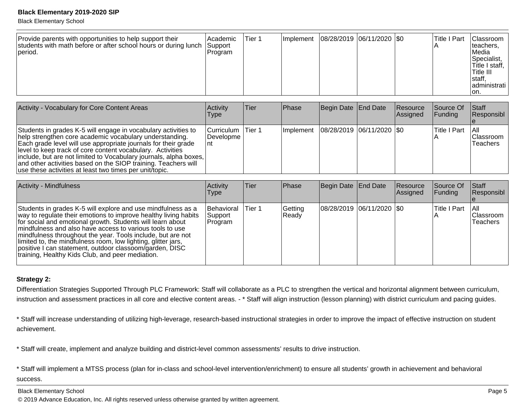Black Elementary School

| Provide parents with opportunities to help support their<br>students with math before or after school hours or during lunch<br>period. | <b>Academic</b><br> Support<br> Program | Tier 1 | <b>Ilmplement</b> | 08/28/2019  06/11/2020  \$0 |  |  | Title I Part | Classroom  <br>Iteachers,<br>lMedia<br>Specialist,<br> Title I staff,  <br> Title III<br>Istaff,<br>ladministrati l<br>ion. |
|----------------------------------------------------------------------------------------------------------------------------------------|-----------------------------------------|--------|-------------------|-----------------------------|--|--|--------------|-----------------------------------------------------------------------------------------------------------------------------|
|----------------------------------------------------------------------------------------------------------------------------------------|-----------------------------------------|--------|-------------------|-----------------------------|--|--|--------------|-----------------------------------------------------------------------------------------------------------------------------|

| Activity - Vocabulary for Core Content Areas                                                                                                                                                                                                                                                                                                                                                                                                                | Activity<br>Type               | Tier    | <b>Phase</b>                              | Begin Date End Date | Resource<br>Assigned | <b>Source Of</b><br>IFundina | Staff<br>Responsibl                   |
|-------------------------------------------------------------------------------------------------------------------------------------------------------------------------------------------------------------------------------------------------------------------------------------------------------------------------------------------------------------------------------------------------------------------------------------------------------------|--------------------------------|---------|-------------------------------------------|---------------------|----------------------|------------------------------|---------------------------------------|
| Students in grades K-5 will engage in vocabulary activities to<br>help strengthen core academic vocabulary understanding.<br>Each grade level will use appropriate journals for their grade<br>level to keep track of core content vocabulary. Activities<br>include, but are not limited to Vocabulary journals, alpha boxes,<br>and other activities based on the SIOP training. Teachers will<br>use these activities at least two times per unit/topic. | Curriculum<br>Developme<br>Int | lTier 1 | Implement   08/28/2019   06/11/2020   \$0 |                     |                      | <b>Title I Part</b>          | TAIL<br><b>Classroom</b><br>lTeachers |

| Activity - Mindfulness                                                                                                                                                                                                                                                                                                                                                                                                                                                                                     | Activity<br>Type                  | Tier   | <b>Phase</b>     | Begin Date End Date |                           | Resource<br><b>Assigned</b> | Source Of<br><b>Funding</b> | Staff<br>Responsibl                   |
|------------------------------------------------------------------------------------------------------------------------------------------------------------------------------------------------------------------------------------------------------------------------------------------------------------------------------------------------------------------------------------------------------------------------------------------------------------------------------------------------------------|-----------------------------------|--------|------------------|---------------------|---------------------------|-----------------------------|-----------------------------|---------------------------------------|
| Students in grades K-5 will explore and use mindfulness as a<br>way to regulate their emotions to improve healthy living habits<br>for social and emotional growth. Students will learn about<br>Imindfulness and also have access to various tools to use<br>mindfulness throughout the year. Tools include, but are not<br>limited to, the mindfulness room, low lighting, glitter jars,<br>positive I can statement, outdoor classoom/garden, DISC<br>Itraining, Healthy Kids Club, and peer mediation. | Behavioral<br>Support<br> Program | Tier 1 | Getting<br>Ready |                     | 08/28/2019 06/11/2020 \$0 |                             | Title I Part                | IAII<br><b>IClassroom</b><br>Teachers |

#### **Strategy 2:**

Differentiation Strategies Supported Through PLC Framework: Staff will collaborate as a PLC to strengthen the vertical and horizontal alignment between curriculum,instruction and assessment practices in all core and elective content areas. - \* Staff will align instruction (lesson planning) with district curriculum and pacing guides.

\* Staff will increase understanding of utilizing high-leverage, research-based instructional strategies in order to improve the impact of effective instruction on studentachievement.

\* Staff will create, implement and analyze building and district-level common assessments' results to drive instruction.

\* Staff will implement a MTSS process (plan for in-class and school-level intervention/enrichment) to ensure all students' growth in achievement and behavioral success.

Black Elementary School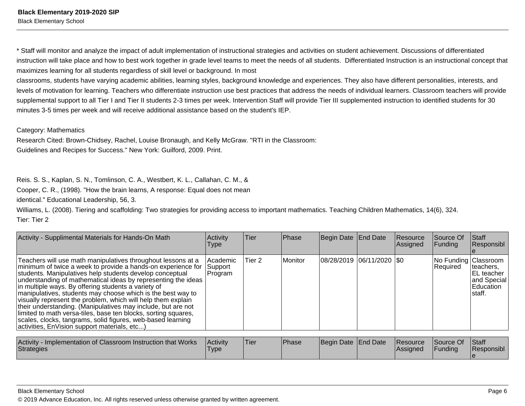\* Staff will monitor and analyze the impact of adult implementation of instructional strategies and activities on student achievement. Discussions of differentiatedinstruction will take place and how to best work together in grade level teams to meet the needs of all students. Differentiated Instruction is an instructional concept that maximizes learning for all students regardless of skill level or background. In most

classrooms, students have varying academic abilities, learning styles, background knowledge and experiences. They also have different personalities, interests, andlevels of motivation for learning. Teachers who differentiate instruction use best practices that address the needs of individual learners. Classroom teachers will provide supplemental support to all Tier I and Tier II students 2-3 times per week. Intervention Staff will provide Tier III supplemented instruction to identified students for 30 minutes 3-5 times per week and will receive additional assistance based on the student's IEP.

#### Category: Mathematics

Research Cited: Brown-Chidsey, Rachel, Louise Bronaugh, and Kelly McGraw. "RTI in the Classroom:Guidelines and Recipes for Success." New York: Guilford, 2009. Print.

Reis. S. S., Kaplan, S. N., Tomlinson, C. A., Westbert, K. L., Callahan, C. M., &

Cooper, C. R., (1998). "How the brain learns, A response: Equal does not mean

identical." Educational Leadership, 56, 3.

Williams, L. (2008). Tiering and scaffolding: Two strategies for providing access to important mathematics. Teaching Children Mathematics, 14(6), 324.Tier: Tier 2

| Activity - Supplimental Materials for Hands-On Math                                                                                                                                                                                                                                                                                                                                                                                                                                                                                                                                                                                                                                              | Activity<br><b>Type</b>           | Tier   | Phase         | Begin Date End Date          | <b>Resource</b><br>Assigned | Source Of<br><b>Funding</b>      | <b>Staff</b><br>Responsibl                                      |
|--------------------------------------------------------------------------------------------------------------------------------------------------------------------------------------------------------------------------------------------------------------------------------------------------------------------------------------------------------------------------------------------------------------------------------------------------------------------------------------------------------------------------------------------------------------------------------------------------------------------------------------------------------------------------------------------------|-----------------------------------|--------|---------------|------------------------------|-----------------------------|----------------------------------|-----------------------------------------------------------------|
| Teachers will use math manipulatives throughout lessons at a<br>minimum of twice a week to provide a hands-on experience for<br>students. Manipulatives help students develop conceptual<br>understanding of mathematical ideas by representing the ideas<br>in multiple ways. By offering students a variety of<br>manipulatives, students may choose which is the best way to<br>visually represent the problem, which will help them explain<br>their understanding. (Manipulatives may include, but are not<br>limited to math versa-tiles, base ten blocks, sorting squares,<br>scales, clocks, tangrams, solid figures, web-based learning<br>activities, EnVision support materials, etc) | l Academic<br> Support<br>Program | Tier 2 | l Monitor     | 08/28/2019 06/11/2020 \$0    |                             | No Funding Classroom<br>Required | Iteachers,<br>EL teacher<br>and Special<br>Education<br>Istaff. |
| Activity - Implementation of Classroom Instruction that Works                                                                                                                                                                                                                                                                                                                                                                                                                                                                                                                                                                                                                                    | <b>Activity</b>                   | lTier  | <b>IPhase</b> | <b>IRegin Date IFnd Date</b> | Resource                    | <b>SOUTO Of Staff</b>            |                                                                 |

| Activity - Implementation of Classroom Instruction that Works<br>Strategies | Activity<br>'Type | 'Tier | <b>Phase</b> | Begin Date End Date | Resource<br><b>IAssianed</b> | Source Of<br>Funding | <b>Staff</b><br>Responsibl |
|-----------------------------------------------------------------------------|-------------------|-------|--------------|---------------------|------------------------------|----------------------|----------------------------|
|                                                                             |                   |       |              |                     |                              |                      |                            |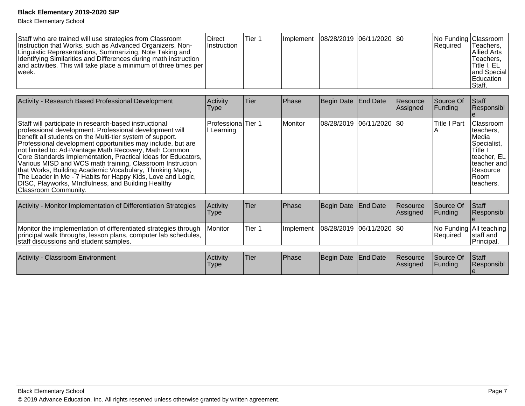| Staff who are trained will use strategies from Classroom<br><b>Direct</b><br>Instruction that Works, such as Advanced Organizers, Non-<br>⊺Instruction<br>Linguistic Representations, Summarizing, Note Taking and<br>Identifying Similarities and Differences during math instruction<br>and activities. This will take place a minimum of three times per<br>week. | Tier 1 |  |  | Implement   08/28/2019   06/11/2020   \$0 |  | No Funding Classroom<br>l Reauired | Teachers,<br>IAllied Arts<br>Teachers,<br><b>Title I, EL</b><br>land Special<br><b>Education</b><br>Staff. |
|----------------------------------------------------------------------------------------------------------------------------------------------------------------------------------------------------------------------------------------------------------------------------------------------------------------------------------------------------------------------|--------|--|--|-------------------------------------------|--|------------------------------------|------------------------------------------------------------------------------------------------------------|
|----------------------------------------------------------------------------------------------------------------------------------------------------------------------------------------------------------------------------------------------------------------------------------------------------------------------------------------------------------------------|--------|--|--|-------------------------------------------|--|------------------------------------|------------------------------------------------------------------------------------------------------------|

| Activity - Research Based Professional Development                                                                                                                                                                                                                                                                                                                                                                                                                                                                                                                                                                                            | Activity<br>Type                  | Tier | Phase   | Begin Date End Date |                           | Resource<br>Assigned | Source Of<br>Funding | <b>Staff</b><br>Responsibl                                                                                                                     |
|-----------------------------------------------------------------------------------------------------------------------------------------------------------------------------------------------------------------------------------------------------------------------------------------------------------------------------------------------------------------------------------------------------------------------------------------------------------------------------------------------------------------------------------------------------------------------------------------------------------------------------------------------|-----------------------------------|------|---------|---------------------|---------------------------|----------------------|----------------------|------------------------------------------------------------------------------------------------------------------------------------------------|
| Staff will participate in research-based instructional<br>professional development. Professional development will<br>benefit all students on the Multi-tier system of support.<br>Professional development opportunities may include, but are<br>not limited to: Ad+Vantage Math Recovery, Math Common<br>Core Standards Implementation, Practical Ideas for Educators,<br>Various MISD and WCS math training, Classroom Instruction<br>that Works, Building Academic Vocabulary, Thinking Maps,<br>The Leader in Me - 7 Habits for Happy Kids, Love and Logic,<br>DISC, Playworks, MIndfulness, and Building Healthy<br>Classroom Community. | lProfessionalTier 1<br>I Learning |      | Monitor |                     | 08/28/2019 06/11/2020 \$0 |                      | <b>Title I Part</b>  | <b>Classroom</b><br>Iteachers.<br><b>IMedia</b><br>Specialist,<br>Title I<br>Iteacher, EL<br>Iteacher and<br>l Resource<br>IRoom<br>Iteachers. |

| Activity - Monitor Implementation of Differentiation Strategies                                                                                                             | <b>Activity</b><br>Type | 'Tier  | Phase                                     | Begin Date End Date | Resource<br>Assigned | Source Of<br><b>IFundina</b> | <b>IStaff</b><br><b>Responsibl</b>                      |
|-----------------------------------------------------------------------------------------------------------------------------------------------------------------------------|-------------------------|--------|-------------------------------------------|---------------------|----------------------|------------------------------|---------------------------------------------------------|
| Monitor the implementation of differentiated strategies through<br>principal walk throughs, lesson plans, computer lab schedules,<br>staff discussions and student samples. | <b>IMonitor</b>         | Tier 1 | Implement   08/28/2019   06/11/2020   \$0 |                     |                      | <b>Required</b>              | No Funding   All teaching  <br>Istaff and<br>Principal. |

| <b>Activity</b><br><b>Classroom Environment</b> | <b>Activity</b><br>Type | 'Tier | <b>Phase</b> | Begin Date End Date |  | <b>Resource</b><br><b>Assigned</b> | Source Of<br>Funding | Staff<br>Responsibl |
|-------------------------------------------------|-------------------------|-------|--------------|---------------------|--|------------------------------------|----------------------|---------------------|
|-------------------------------------------------|-------------------------|-------|--------------|---------------------|--|------------------------------------|----------------------|---------------------|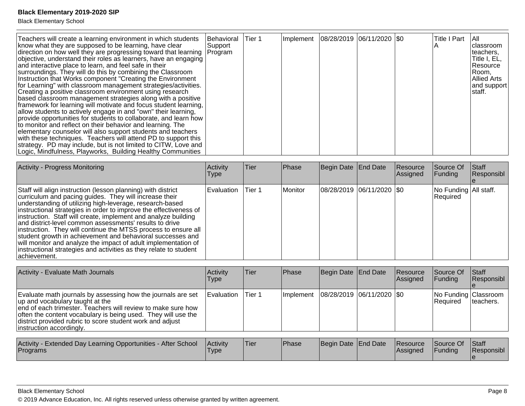Black Elementary School

| Teachers will create a learning environment in which students<br>know what they are supposed to be learning, have clear<br>direction on how well they are progressing toward that learning<br>objective, understand their roles as learners, have an engaging<br>and interactive place to learn, and feel safe in their<br>surroundings. They will do this by combining the Classroom<br>Instruction that Works component "Creating the Environment<br>for Learning" with classroom management strategies/activities.<br>Creating a positive classroom environment using research<br>based classroom management strategies along with a positive<br>framework for learning will motivate and focus student learning,<br>allow students to actively engage in and "own" their learning,<br>provide opportunities for students to collaborate, and learn how  <br>to monitor and reflect on their behavior and learning. The<br>elementary counselor will also support students and teachers<br>with these techniques. Teachers will attend PD to support this<br>strategy. PD may include, but is not limited to CITW, Love and<br>Logic, Mindfulness, Playworks, Building Healthy Communities | Behavioral<br>Support<br>Program | lTier 1 |  | Implement   08/28/2019   06/11/2020   \$0 |  |  | <b>Title I Part</b> | IAII.<br>Iclassroom<br>Iteachers,<br>Title I, EL<br>Resource<br>Room,<br>Allied Arts<br>and support<br>staff. |
|-----------------------------------------------------------------------------------------------------------------------------------------------------------------------------------------------------------------------------------------------------------------------------------------------------------------------------------------------------------------------------------------------------------------------------------------------------------------------------------------------------------------------------------------------------------------------------------------------------------------------------------------------------------------------------------------------------------------------------------------------------------------------------------------------------------------------------------------------------------------------------------------------------------------------------------------------------------------------------------------------------------------------------------------------------------------------------------------------------------------------------------------------------------------------------------------------|----------------------------------|---------|--|-------------------------------------------|--|--|---------------------|---------------------------------------------------------------------------------------------------------------|
|-----------------------------------------------------------------------------------------------------------------------------------------------------------------------------------------------------------------------------------------------------------------------------------------------------------------------------------------------------------------------------------------------------------------------------------------------------------------------------------------------------------------------------------------------------------------------------------------------------------------------------------------------------------------------------------------------------------------------------------------------------------------------------------------------------------------------------------------------------------------------------------------------------------------------------------------------------------------------------------------------------------------------------------------------------------------------------------------------------------------------------------------------------------------------------------------------|----------------------------------|---------|--|-------------------------------------------|--|--|---------------------|---------------------------------------------------------------------------------------------------------------|

| <b>Activity - Progress Monitoring</b>                                                                                                                                                                                                                                                                                                                                                                                                                                                                                                                                                                                                                                        | Activity<br>Type  | ∣Tier  | Phase     | Begin Date End Date       | Resource<br>Assigned | Source Of<br><b>Funding</b>         | Staff<br>Responsibl |
|------------------------------------------------------------------------------------------------------------------------------------------------------------------------------------------------------------------------------------------------------------------------------------------------------------------------------------------------------------------------------------------------------------------------------------------------------------------------------------------------------------------------------------------------------------------------------------------------------------------------------------------------------------------------------|-------------------|--------|-----------|---------------------------|----------------------|-------------------------------------|---------------------|
| Staff will align instruction (lesson planning) with district<br>curriculum and pacing guides. They will increase their<br>understanding of utilizing high-leverage, research-based<br>instructional strategies in order to improve the effectiveness of<br>instruction. Staff will create, implement and analyze building<br>and district-level common assessments' results to drive<br>instruction. They will continue the MTSS process to ensure all<br>student growth in achievement and behavioral successes and<br>will monitor and analyze the impact of adult implementation of<br>instructional strategies and activities as they relate to student<br>lachievement. | <b>Evaluation</b> | Tier 1 | l Monitor | 08/28/2019 06/11/2020 \$0 |                      | No Funding   All staff.<br>Required |                     |

| <b>Activity - Evaluate Math Journals</b>                                                                                                                                                                                                                                                                                  | Activity<br><b>Type</b> | Tier   | Phase       | Begin Date   End Date       | Resource<br><b>Assigned</b> | Source Of<br><b>Funding</b>             | <b>Staff</b><br>Responsibl |
|---------------------------------------------------------------------------------------------------------------------------------------------------------------------------------------------------------------------------------------------------------------------------------------------------------------------------|-------------------------|--------|-------------|-----------------------------|-----------------------------|-----------------------------------------|----------------------------|
| Evaluate math journals by assessing how the journals are set<br>up and vocabulary taught at the<br>end of each trimester. Teachers will review to make sure how<br>often the content vocabulary is being used. They will use the<br>district provided rubric to score student work and adjust<br>instruction accordingly. | Evaluation              | Tier 1 | l Implement | 08/28/2019  06/11/2020  \$0 |                             | No Funding Classroom<br><b>Required</b> | Iteachers.                 |
|                                                                                                                                                                                                                                                                                                                           |                         |        |             |                             |                             |                                         |                            |

| Activity - Extended Day Learning Opportunities - After School<br>Programs | Activity<br>Type | <sup>I</sup> Tier | Phase | Begin Date End Date |  | <b>Resource</b><br><b>Assigned</b> | Source Of<br>Funding | Staff<br>Responsibl |
|---------------------------------------------------------------------------|------------------|-------------------|-------|---------------------|--|------------------------------------|----------------------|---------------------|
|---------------------------------------------------------------------------|------------------|-------------------|-------|---------------------|--|------------------------------------|----------------------|---------------------|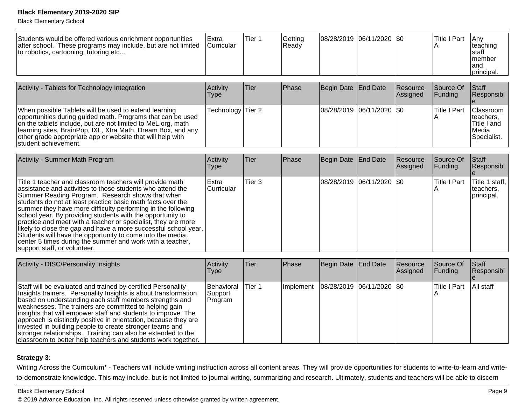Black Elementary School

| Students would be offered various enrichment opportunities<br>after school. These programs may include, but are not limited<br>to robotics, cartooning, tutoring etc | <b>IExtra</b><br><i>Curricular</i> | Tier 1 | Getting<br> Readv | $ 08/28/2019 06/11/2020 $ \$0 |  | <b>Title I Part</b> | <b>IAnv</b><br>Iteaching<br>Istaff<br>Imember<br>land<br>Iprincipal. |
|----------------------------------------------------------------------------------------------------------------------------------------------------------------------|------------------------------------|--------|-------------------|-------------------------------|--|---------------------|----------------------------------------------------------------------|
|                                                                                                                                                                      |                                    |        |                   |                               |  |                     |                                                                      |

| Activity - Tablets for Technology Integration                                                                                                                                                                                                                                                                                                | <b>Activity</b><br>Type | Tier | Phase | Begin Date End Date           | <b>Resource</b><br><b>Assigned</b> | <b>Source Of</b><br>IFundina | <b>Staff</b><br>Responsibl                                                     |
|----------------------------------------------------------------------------------------------------------------------------------------------------------------------------------------------------------------------------------------------------------------------------------------------------------------------------------------------|-------------------------|------|-------|-------------------------------|------------------------------------|------------------------------|--------------------------------------------------------------------------------|
| When possible Tablets will be used to extend learning<br>opportunities during guided math. Programs that can be used<br>on the tablets include, but are not limited to MeL.org, math<br>Ilearning sites, BrainPop, IXL, Xtra Math, Dream Box, and any<br>other grade appropriate app or website that will help with<br>Istudent achievement. | Technology Tier 2       |      |       | $ 08/28/2019 06/11/2020 $ \$0 |                                    | lTitle I Part                | <b>IClassroom</b><br>Iteachers.<br>Title I and<br><b>IMedia</b><br>Specialist. |

| <b>Activity - Summer Math Program</b>                                                                                                                                                                                                                                                                                                                                                                                                                                                                                                                                                                                                                                 | Activity<br><b>Type</b>            | Tier              | <b>Phase</b> | Begin Date End Date         | Resource<br> Assigned | Source Of<br><b>Funding</b> | <b>Staff</b><br>Responsibl                |
|-----------------------------------------------------------------------------------------------------------------------------------------------------------------------------------------------------------------------------------------------------------------------------------------------------------------------------------------------------------------------------------------------------------------------------------------------------------------------------------------------------------------------------------------------------------------------------------------------------------------------------------------------------------------------|------------------------------------|-------------------|--------------|-----------------------------|-----------------------|-----------------------------|-------------------------------------------|
| Title 1 teacher and classroom teachers will provide math<br>assistance and activities to those students who attend the<br>Summer Reading Program. Research shows that when<br>students do not at least practice basic math facts over the<br>summer they have more difficulty performing in the following<br>school year. By providing students with the opportunity to<br>practice and meet with a teacher or specialist, they are more<br>likely to close the gap and have a more successful school year.<br>Students will have the opportunity to come into the media<br>center 5 times during the summer and work with a teacher,<br>support staff, or volunteer. | <b>IExtra</b><br><b>Curricular</b> | Tier <sub>3</sub> |              | 08/28/2019  06/11/2020  \$0 |                       | lTitle I Part               | Title 1 staff,<br>teachers.<br>principal. |

| Activity - DISC/Personality Insights                                                                                                                                                                                                                                                                                                                                                                                                                                                                                                                                                   | Activity<br>Type                        | lTier. | <b>Phase</b> | Begin Date End Date         | Resource<br>Assigned | Source Of<br><b>Funding</b> | <b>Staff</b><br>Responsibl |
|----------------------------------------------------------------------------------------------------------------------------------------------------------------------------------------------------------------------------------------------------------------------------------------------------------------------------------------------------------------------------------------------------------------------------------------------------------------------------------------------------------------------------------------------------------------------------------------|-----------------------------------------|--------|--------------|-----------------------------|----------------------|-----------------------------|----------------------------|
| Staff will be evaluated and trained by certified Personality<br>Insights trainers. Personality Insights is about transformation<br>based on understanding each staff members strengths and<br>weaknesses. The trainers are committed to helping gain<br>insights that will empower staff and students to improve. The<br>approach is distinctly positive in orientation, because they are<br>invested in building people to create stronger teams and<br>stronger relationships. Training can also be extended to the<br>classroom to better help teachers and students work together. | <b>Behavioral</b><br>Support<br>Program | Tier 1 | Implement    | 08/28/2019  06/11/2020  \$0 |                      | <b>Title I Part</b>         | All staff                  |

## **Strategy 3:**

Writing Across the Curriculum\* - Teachers will include writing instruction across all content areas. They will provide opportunities for students to write-to-learn and writeto-demonstrate knowledge. This may include, but is not limited to journal writing, summarizing and research. Ultimately, students and teachers will be able to discern

#### Black Elementary School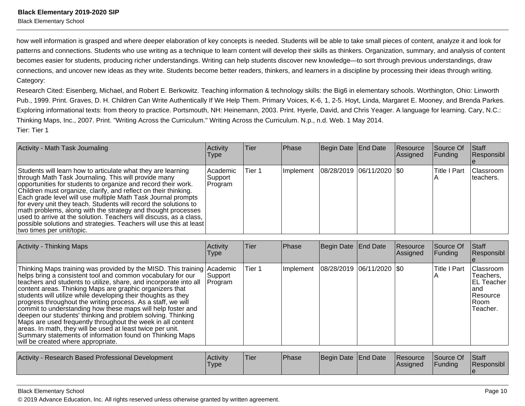Black Elementary School

how well information is grasped and where deeper elaboration of key concepts is needed. Students will be able to take small pieces of content, analyze it and look forpatterns and connections. Students who use writing as a technique to learn content will develop their skills as thinkers. Organization, summary, and analysis of contentbecomes easier for students, producing richer understandings. Writing can help students discover new knowledge—to sort through previous understandings, draw connections, and uncover new ideas as they write. Students become better readers, thinkers, and learners in a discipline by processing their ideas through writing.Category:

Research Cited: Eisenberg, Michael, and Robert E. Berkowitz. Teaching information & technology skills: the Big6 in elementary schools. Worthington, Ohio: LinworthPub., 1999. Print. Graves, D. H. Children Can Write Authentically If We Help Them. Primary Voices, K-6, 1, 2-5. Hoyt, Linda, Margaret E. Mooney, and Brenda Parkes. Exploring informational texts: from theory to practice. Portsmouth, NH: Heinemann, 2003. Print. Hyerle, David, and Chris Yeager. A language for learning. Cary, N.C.:Thinking Maps, Inc., 2007. Print. "Writing Across the Curriculum." Writing Across the Curriculum. N.p., n.d. Web. 1 May 2014.Tier: Tier 1

| Activity - Math Task Journaling                                                                                                                                                                                                                                                                                                                                                                                                                                                                                                                                                                                                       | Activity<br><b>Type</b>          | Tier   | <b>Phase</b> | Begin Date End Date         | Resource<br>Assigned | Source Of<br><b>Funding</b> | Staff<br>Responsibl     |
|---------------------------------------------------------------------------------------------------------------------------------------------------------------------------------------------------------------------------------------------------------------------------------------------------------------------------------------------------------------------------------------------------------------------------------------------------------------------------------------------------------------------------------------------------------------------------------------------------------------------------------------|----------------------------------|--------|--------------|-----------------------------|----------------------|-----------------------------|-------------------------|
| Students will learn how to articulate what they are learning<br>through Math Task Journaling. This will provide many<br>opportunities for students to organize and record their work.<br>Children must organize, clarify, and reflect on their thinking.<br>Each grade level will use multiple Math Task Journal prompts<br>for every unit they teach. Students will record the solutions to<br>math problems, along with the strategy and thought processes<br>used to arrive at the solution. Teachers will discuss, as a class,<br>possible solutions and strategies. Teachers will use this at least<br>two times per unit/topic. | l Academic<br>Support<br>Program | Tier 1 | Implement    | 08/28/2019  06/11/2020  \$0 |                      | lTitle I Part               | Classroom<br>Iteachers. |

| <b>Activity - Thinking Maps</b>                                                                                                                                                                                                                                                                                                                                                                                                                                                                                                                                                                                                                                                                                                                                       | Activity<br>Type   | Tier   | Phase     | Begin Date End Date           | Resource<br>Assigned | Source Of<br>Funding | <b>Staff</b><br>Responsibl                                                            |
|-----------------------------------------------------------------------------------------------------------------------------------------------------------------------------------------------------------------------------------------------------------------------------------------------------------------------------------------------------------------------------------------------------------------------------------------------------------------------------------------------------------------------------------------------------------------------------------------------------------------------------------------------------------------------------------------------------------------------------------------------------------------------|--------------------|--------|-----------|-------------------------------|----------------------|----------------------|---------------------------------------------------------------------------------------|
| Thinking Maps training was provided by the MISD. This training Academic<br>helps bring a consistent tool and common vocabulary for our<br>teachers and students to utilize, share, and incorporate into all<br>content areas. Thinking Maps are graphic organizers that<br>students will utilize while developing their thoughts as they<br>progress throughout the writing process. As a staff, we will<br>commit to understanding how these maps will help foster and<br>deepen our students' thinking and problem solving. Thinking<br>Maps are used frequently throughout the week in all content<br>areas. In math, they will be used at least twice per unit.<br>Summary statements of information found on Thinking Maps<br>will be created where appropriate. | Support<br>Program | Tier 1 | Implement | $ 08/28/2019 06/11/2020 $ \$0 |                      | <b>Title I Part</b>  | Classroom<br>Teachers,<br><b>EL Teacher</b><br>land<br>Resource<br>l Room<br>Teacher. |
| Activity - Research Based Professional Development                                                                                                                                                                                                                                                                                                                                                                                                                                                                                                                                                                                                                                                                                                                    | Activity           | Tier   | Phase     | Begin Date End Date           | Resource             | Source Of            | Staff                                                                                 |
|                                                                                                                                                                                                                                                                                                                                                                                                                                                                                                                                                                                                                                                                                                                                                                       | <b>Type</b>        |        |           |                               | Assigned             | Funding              | Responsibl                                                                            |

Black Elementary School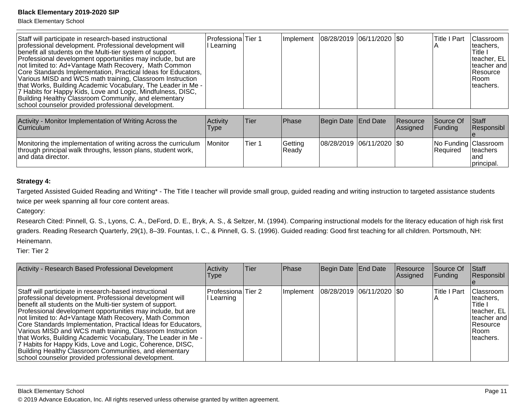Black Elementary School

| Staff will participate in research-based instructional<br>professional development. Professional development will<br>benefit all students on the Multi-tier system of support.<br>Professional development opportunities may include, but are<br>not limited to: Ad+Vantage Math Recovery, Math Common<br>Core Standards Implementation, Practical Ideas for Educators,<br>Various MISD and WCS math training, Classroom Instruction<br>that Works, Building Academic Vocabulary, The Leader in Me -<br>7 Habits for Happy Kids, Love and Logic, Mindfulness, DISC,<br>Building Healthy Classroom Community, and elementary<br>school counselor provided professional development. | lProfessionalTier 1<br>l Learning |  |  |  | Implement   08/28/2019   06/11/2020   \$0 |  | Title I Part | <b>Classroom</b><br>teachers.<br>Title I<br>  teacher, EL<br>Iteacher and<br><b>Resource</b><br>IRoom<br>Iteachers. |
|------------------------------------------------------------------------------------------------------------------------------------------------------------------------------------------------------------------------------------------------------------------------------------------------------------------------------------------------------------------------------------------------------------------------------------------------------------------------------------------------------------------------------------------------------------------------------------------------------------------------------------------------------------------------------------|-----------------------------------|--|--|--|-------------------------------------------|--|--------------|---------------------------------------------------------------------------------------------------------------------|
|------------------------------------------------------------------------------------------------------------------------------------------------------------------------------------------------------------------------------------------------------------------------------------------------------------------------------------------------------------------------------------------------------------------------------------------------------------------------------------------------------------------------------------------------------------------------------------------------------------------------------------------------------------------------------------|-----------------------------------|--|--|--|-------------------------------------------|--|--------------|---------------------------------------------------------------------------------------------------------------------|

| Activity - Monitor Implementation of Writing Across the<br><b>Curriculum</b>                                                                         | Activity<br>Type | Tier   | <b>IPhase</b>    | Begin Date End Date         | <b>Resource</b><br><b>Assigned</b> | <b>Source Of</b><br><b>IFundina</b> | <b>Staff</b><br><b>Responsibl</b>                       |
|------------------------------------------------------------------------------------------------------------------------------------------------------|------------------|--------|------------------|-----------------------------|------------------------------------|-------------------------------------|---------------------------------------------------------|
| Monitoring the implementation of writing across the curriculum<br>through principal walk throughs, lesson plans, student work,<br>and data director. | <b>IMonitor</b>  | Tier 1 | Getting<br>Ready | 08/28/2019  06/11/2020  \$0 |                                    | <b>IRequired</b>                    | No Funding Classroom<br>Iteachers<br>land<br>principal. |

#### **Strategy 4:**

Targeted Assisted Guided Reading and Writing\* - The Title I teacher will provide small group, guided reading and writing instruction to targeted assistance studentstwice per week spanning all four core content areas.

Category:

Research Cited: Pinnell, G. S., Lyons, C. A., DeFord, D. E., Bryk, A. S., & Seltzer, M. (1994). Comparing instructional models for the literacy education of high risk firstgraders. Reading Research Quarterly, 29(1), 8–39. Fountas, I. C., & Pinnell, G. S. (1996). Guided reading: Good first teaching for all children. Portsmouth, NH:Heinemann.

Tier: Tier 2

| Activity - Research Based Professional Development                                                                                                                                                                                                                                                                                                                                                                                                                                                                                                                                                                                                                                 | Activity<br>Type                 | <b>Tier</b> | Phase     | Begin Date End Date         | Resource<br>Assigned | Source Of<br><b>Funding</b> | <b>Staff</b><br>Responsibl                                                                                    |
|------------------------------------------------------------------------------------------------------------------------------------------------------------------------------------------------------------------------------------------------------------------------------------------------------------------------------------------------------------------------------------------------------------------------------------------------------------------------------------------------------------------------------------------------------------------------------------------------------------------------------------------------------------------------------------|----------------------------------|-------------|-----------|-----------------------------|----------------------|-----------------------------|---------------------------------------------------------------------------------------------------------------|
| Staff will participate in research-based instructional<br>professional development. Professional development will<br>benefit all students on the Multi-tier system of support.<br>Professional development opportunities may include, but are<br>not limited to: Ad+Vantage Math Recovery, Math Common<br>Core Standards Implementation, Practical Ideas for Educators,<br>Various MISD and WCS math training, Classroom Instruction<br>that Works, Building Academic Vocabulary, The Leader in Me -<br>7 Habits for Happy Kids, Love and Logic, Coherence, DISC,<br>Building Healthy Classroom Communities, and elementary<br>school counselor provided professional development. | Professiona Tier 2<br>I Learning |             | Implement | 08/28/2019  06/11/2020  \$0 |                      | <b>Title I Part</b>         | <b>Classroom</b><br>teachers.<br>Title I<br>Iteacher, EL<br>Iteacher and<br>l Resource<br>IRoom<br>Iteachers. |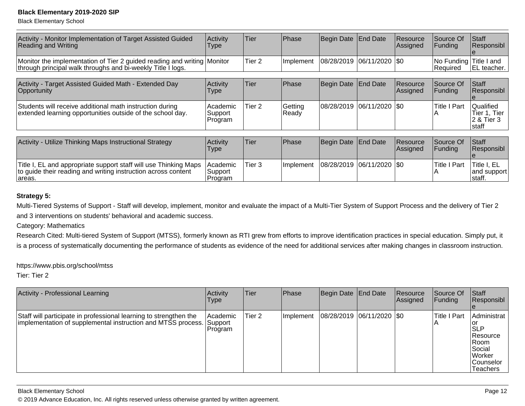Black Elementary School

| Activity - Monitor Implementation of Target Assisted Guided<br><b>Reading and Writing</b>                                                   | Activity<br><b>Type</b>         | Tier              | <b>Phase</b>     | Begin Date End Date |                     | Resource<br>Assigned        | Source Of<br>Funding                 | <b>Staff</b><br>Responsibl                       |
|---------------------------------------------------------------------------------------------------------------------------------------------|---------------------------------|-------------------|------------------|---------------------|---------------------|-----------------------------|--------------------------------------|--------------------------------------------------|
| Monitor the implementation of Tier 2 guided reading and writing Monitor<br>through principal walk throughs and bi-weekly Title I logs.      |                                 | Tier <sub>2</sub> | Implement        | 08/28/2019          | $ 06/11/2020 $ \\$0 |                             | No Funding Title I and<br>l Reauired | EL teacher.                                      |
| Activity - Target Assisted Guided Math - Extended Day<br>Opportunity                                                                        | Activity<br>Type                | Tier              | Phase            | Begin Date          | End Date            | <b>Resource</b><br>Assigned | Source Of<br><b>Funding</b>          | <b>Staff</b><br> Responsibl                      |
| Students will receive additional math instruction during<br>extended learning opportunities outside of the school day.                      | Academic <br>Support<br>Program | Tier 2            | Getting<br>Ready | 08/28/2019          | 06/11/2020          | 1\$0                        | <b>Title I Part</b>                  | Qualified<br>Tier 1. Tier<br>2 & Tier 3<br>staff |
|                                                                                                                                             |                                 |                   |                  |                     |                     |                             |                                      |                                                  |
| Activity - Utilize Thinking Maps Instructional Strategy                                                                                     | Activity<br>Type                | Tier              | Phase            | Begin Date          | <b>End Date</b>     | Resource<br> Assigned       | Source Of<br>Funding                 | <b>Staff</b><br> Responsibl                      |
| Title I, EL and appropriate support staff will use Thinking Maps<br>to guide their reading and writing instruction across content<br>areas. | Academic<br>Support<br>Program  | Tier <sub>3</sub> | Implement        | 08/28/2019          | $ 06/11/2020 $ \\$0 |                             | <b>Title I Part</b>                  | Title I, EL<br>and support<br>staff.             |

#### **Strategy 5:**

Multi-Tiered Systems of Support - Staff will develop, implement, monitor and evaluate the impact of a Multi-Tier System of Support Process and the delivery of Tier 2and 3 interventions on students' behavioral and academic success.

Category: Mathematics

Research Cited: Multi-tiered System of Support (MTSS), formerly known as RTI grew from efforts to improve identification practices in special education. Simply put, it is a process of systematically documenting the performance of students as evidence of the need for additional services after making changes in classroom instruction.

https://www.pbis.org/school/mtss

Tier: Tier 2

| Activity - Professional Learning                                                                                                          | Activity<br><b>Type</b> | Tier   | Phase     | Begin Date End Date |                               | Resource<br>Assigned | Source Of<br><b>Funding</b>           | Staff<br>Responsibl                                                                                              |
|-------------------------------------------------------------------------------------------------------------------------------------------|-------------------------|--------|-----------|---------------------|-------------------------------|----------------------|---------------------------------------|------------------------------------------------------------------------------------------------------------------|
| Staff will participate in professional learning to strengthen the<br>implementation of supplemental instruction and MTSS process. Support | Academic<br>Program     | Tier 2 | Implement |                     | $ 08/28/2019 06/11/2020 $ \$0 |                      | <b>Title I Part</b><br>$\overline{A}$ | Administrat<br><b>SLP</b><br>Resource<br>IRoom<br><b>Social</b><br><b>Worker</b><br>Counselor<br><b>Teachers</b> |

Black Elementary School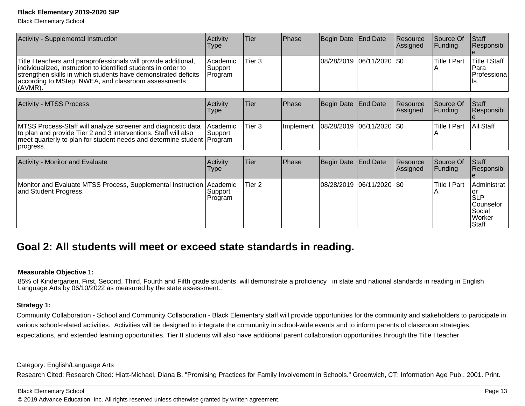Black Elementary School

| Activity - Supplemental Instruction                                                                                                                                                                                                                                       | Activity<br>Type                | Tier   | <b>Phase</b> | Begin Date End Date       | <b>Resource</b><br>Assigned | <b>Source Of</b><br> Funding | <b>Staff</b><br> Responsibl                                |
|---------------------------------------------------------------------------------------------------------------------------------------------------------------------------------------------------------------------------------------------------------------------------|---------------------------------|--------|--------------|---------------------------|-----------------------------|------------------------------|------------------------------------------------------------|
| Title I teachers and paraprofessionals will provide additional,<br>individualized, instruction to identified students in order to<br>strengthen skills in which students have demonstrated deficits<br>according to MStep, NWEA, and classroom assessments<br>$ $ (AVMR). | Academic<br>Support<br> Program | Tier 3 |              | 08/28/2019 06/11/2020 \$0 |                             | <b>Title I Part</b>          | <b>Title I Staff</b><br>IPara<br><b>IProfessiona</b><br>ПS |

| <b>Activity - MTSS Process</b>                                                                                                                                                                                         | Activitv<br>Type              | Tier   | <b>Phase</b> | Begin Date End Date         | <b>Resource</b><br>Assigned | Source Of<br>IFundina | <b>Staff</b><br><b>Responsibl</b> |
|------------------------------------------------------------------------------------------------------------------------------------------------------------------------------------------------------------------------|-------------------------------|--------|--------------|-----------------------------|-----------------------------|-----------------------|-----------------------------------|
| MTSS Process-Staff will analyze screener and diagnostic data<br>to plan and provide Tier 2 and 3 interventions. Staff will also<br>meet quarterly to plan for student needs and determine student Program<br>progress. | <b>Academic</b><br>lSupport i | Tier 3 | Ilmplement   | 08/28/2019  06/11/2020  \$0 |                             | lTitle I Part         | <b>All Staff</b>                  |

| Activity - Monitor and Evaluate                                                               | Activity<br><b>Type</b> | Tier              | <b>Phase</b> | Begin Date   End Date |                           | Resource<br>Assigned | Source Of<br>IFundina | Staff<br>Responsibl                                                                |
|-----------------------------------------------------------------------------------------------|-------------------------|-------------------|--------------|-----------------------|---------------------------|----------------------|-----------------------|------------------------------------------------------------------------------------|
| Monitor and Evaluate MTSS Process, Supplemental Instruction Academic<br>and Student Progress. | Support <br>Program     | Tier <sub>2</sub> |              |                       | 08/28/2019 06/11/2020 \$0 |                      | <b>Title I Part</b>   | Administrat<br> SLP<br><b>Counselor</b><br>Social<br><b>Worker</b><br><b>Staff</b> |

## **Goal 2: All students will meet or exceed state standards in reading.**

#### **Measurable Objective 1:**

85% of Kindergarten, First, Second, Third, Fourth and Fifth grade students will demonstrate a proficiency in state and national standards in reading in English Language Arts by 06/10/2022 as measured by the state assessment..

#### **Strategy 1:**

Community Collaboration - School and Community Collaboration - Black Elementary staff will provide opportunities for the community and stakeholders to participate invarious school-related activities. Activities will be designed to integrate the community in school-wide events and to inform parents of classroom strategies,expectations, and extended learning opportunities. Tier II students will also have additional parent collaboration opportunities through the Title I teacher.

Category: English/Language Arts

Research Cited: Research Cited: Hiatt-Michael, Diana B. "Promising Practices for Family Involvement in Schools." Greenwich, CT: Information Age Pub., 2001. Print.

#### Black Elementary School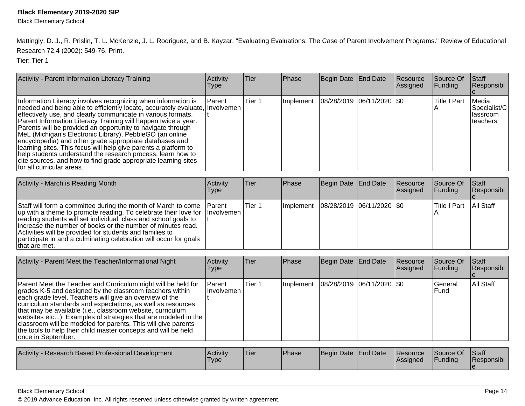Mattingly, D. J., R. Prislin, T. L. McKenzie, J. L. Rodriguez, and B. Kayzar. "Evaluating Evaluations: The Case of Parent Involvement Programs." Review of Educational Research 72.4 (2002): 549-76. Print.

Tier: Tier 1

| Activity - Parent Information Literacy Training                                                                                                                                                                                                                                                                                                                                                                                                                                                                                                                                                                                                                                                         | Activity<br><b>Type</b> | <b>Tier</b> | Phase     | Begin Date End Date         | Resource<br>Assigned | Source Of<br> Funding | <b>Staff</b><br>Responsibl                      |
|---------------------------------------------------------------------------------------------------------------------------------------------------------------------------------------------------------------------------------------------------------------------------------------------------------------------------------------------------------------------------------------------------------------------------------------------------------------------------------------------------------------------------------------------------------------------------------------------------------------------------------------------------------------------------------------------------------|-------------------------|-------------|-----------|-----------------------------|----------------------|-----------------------|-------------------------------------------------|
| Information Literacy involves recognizing when information is<br>needed and being able to efficiently locate, accurately evaluate, Involvemen<br>effectively use, and clearly communicate in various formats.<br>Parent Information Literacy Training will happen twice a year.<br>Parents will be provided an opportunity to navigate through<br>MeL (Michigan's Electronic Library), PebbleGO (an online<br>encyclopedia) and other grade appropriate databases and<br>learning sites. This focus will help give parents a platform to<br>help students understand the research process, learn how to<br>cite sources, and how to find grade appropriate learning sites<br>Ifor all curricular areas. | <b>IParent</b>          | Tier 1      | Implement | 08/28/2019  06/11/2020  \$0 |                      | Title I Part          | Media<br>Specialist/C<br>Ilassroom<br>Iteachers |

| Activity - March is Reading Month                                                                                                                                                                                                                                                                                                                                                                                                    | Activity<br>Type | lTier. | <b>Phase</b> | Begin Date End Date                       | Resource<br>Assigned | Source Of<br>$\vert$ Funding | <b>Staff</b><br>Responsibl |
|--------------------------------------------------------------------------------------------------------------------------------------------------------------------------------------------------------------------------------------------------------------------------------------------------------------------------------------------------------------------------------------------------------------------------------------|------------------|--------|--------------|-------------------------------------------|----------------------|------------------------------|----------------------------|
| Staff will form a committee during the month of March to come<br> up with a theme to promote reading. To celebrate their love for  Involvemen  <br>reading students will set individual, class and school goals to<br>lincrease the number of books or the number of minutes read.<br>Activities will be provided for students and families to<br>participate in and a culminating celebration will occur for goals<br>that are met. | <b>IParent</b>   | Tier 1 |              | Implement   08/28/2019   06/11/2020   \$0 |                      | ITitle I Part                | All Staff                  |

| Activity - Parent Meet the Teacher/Informational Night                                                                                                                                                                                                                                                                                                                                                                                                                                                                                      | <b>Activity</b><br>l ype | lTier. | Phase         | Begin Date End Date           | Resource<br>Assigned | Source Of<br> Funding | Staff<br>Responsibl |
|---------------------------------------------------------------------------------------------------------------------------------------------------------------------------------------------------------------------------------------------------------------------------------------------------------------------------------------------------------------------------------------------------------------------------------------------------------------------------------------------------------------------------------------------|--------------------------|--------|---------------|-------------------------------|----------------------|-----------------------|---------------------|
| Parent Meet the Teacher and Curriculum night will be held for<br>grades K-5 and designed by the classroom teachers within<br>each grade level. Teachers will give an overview of the<br>curriculum standards and expectations, as well as resources<br>that may be available (i.e., classroom website, curriculum<br>websites etc). Examples of strategies that are modeled in the<br>classroom will be modeled for parents. This will give parents<br>the tools to help their child master concepts and will be held<br>once in September. | l Parent<br>Involvemen   | Tier 1 | Implement     | $ 08/28/2019 06/11/2020 $ \$0 |                      | lGeneral<br>IFund     | All Staff           |
| Activity - Research Based Professional Development                                                                                                                                                                                                                                                                                                                                                                                                                                                                                          | <b>Activity</b>          | lTier. | <b>IPhase</b> | IBegin Date TFnd Date⊥        | Resource             | <b>Source Of</b>      | $\mathsf{IStaff}$   |

| Activity - Research Based Professional Development | <b>Activity</b><br><b>Type</b> | 'Tier | <b>Phase</b> | Begin Date End Date |  | <b>Resource</b><br><b>Assigned</b> | Source Of<br>Funding | <b>Staff</b><br>Responsibl |
|----------------------------------------------------|--------------------------------|-------|--------------|---------------------|--|------------------------------------|----------------------|----------------------------|
|----------------------------------------------------|--------------------------------|-------|--------------|---------------------|--|------------------------------------|----------------------|----------------------------|

#### Black Elementary School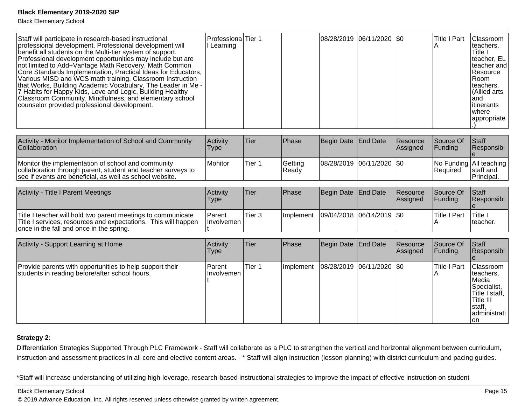Black Elementary School

| Staff will participate in research-based instructional<br>professional development. Professional development will<br>benefit all students on the Multi-tier system of support.<br>Professional development opportunities may include but are<br>not limited to Add+Vantage Math Recovery, Math Common<br>Core Standards Implementation, Practical Ideas for Educators,<br>Various MISD and WCS math training, Classroom Instruction<br>that Works, Building Academic Vocabulary, The Leader in Me -<br>7 Habits for Happy Kids, Love and Logic, Building Healthy<br>Classroom Community, Mindfulness, and elementary school<br>counselor provided professional development. | Professiona Tier 1<br>I Learning |  |  |  | 08/28/2019  06/11/2020  \$0 |  | lTitle I Part | Classroom<br>Iteachers.<br>lTitle I<br>teacher, EL<br>lteacher and l<br>l Resource<br>IRoom.<br>Iteachers.<br>Allied arts<br>land<br>litinerants<br>Iwhere<br> appropriate |
|-----------------------------------------------------------------------------------------------------------------------------------------------------------------------------------------------------------------------------------------------------------------------------------------------------------------------------------------------------------------------------------------------------------------------------------------------------------------------------------------------------------------------------------------------------------------------------------------------------------------------------------------------------------------------------|----------------------------------|--|--|--|-----------------------------|--|---------------|----------------------------------------------------------------------------------------------------------------------------------------------------------------------------|
|-----------------------------------------------------------------------------------------------------------------------------------------------------------------------------------------------------------------------------------------------------------------------------------------------------------------------------------------------------------------------------------------------------------------------------------------------------------------------------------------------------------------------------------------------------------------------------------------------------------------------------------------------------------------------------|----------------------------------|--|--|--|-----------------------------|--|---------------|----------------------------------------------------------------------------------------------------------------------------------------------------------------------------|

| Activity - Monitor Implementation of School and Community<br>Collaboration                                                                                                     | Activity<br>Type | Tier   | <b>Phase</b>     | Begin Date End Date         | <b>Resource</b><br><b>IAssianed</b> | Source Of<br><b>IFundina</b> | <b>Staff</b><br><b>IResponsibl</b>                 |
|--------------------------------------------------------------------------------------------------------------------------------------------------------------------------------|------------------|--------|------------------|-----------------------------|-------------------------------------|------------------------------|----------------------------------------------------|
| Monitor the implementation of school and community<br>collaboration through parent, student and teacher surveys to<br>see if events are beneficial, as well as school website. | Monitor          | Tier 1 | Getting<br>Ready | 08/28/2019  06/11/2020  \$0 |                                     | l Reauired                   | No Funding All teaching<br>staff and<br>Principal. |

| Activity - Title I Parent Meetings                                                                                                                                         | Activity<br>Type                      | <b>Tier</b>         | <b>Phase</b>                        | Begin Date End Date | Resource<br>Assigned | <b>Source Of</b><br><b>IFundina</b> | Staff<br>Responsibl |
|----------------------------------------------------------------------------------------------------------------------------------------------------------------------------|---------------------------------------|---------------------|-------------------------------------|---------------------|----------------------|-------------------------------------|---------------------|
| Title I teacher will hold two parent meetings to communicate<br>Title I services, resources and expectations. This will happen<br>once in the fall and once in the spring. | <b>Parent</b><br><b>Ilnvolvemen</b> I | <sup>1</sup> Tier 3 | Implement 09/04/2018 06/14/2019 \$0 |                     |                      | <b>Title I Part</b>                 | 'Title<br>Iteacher. |

| Activity - Support Learning at Home                                                                        | Activity<br>Type            | Tier   | Phase     | Begin Date   End Date         | Resource<br>Assigned | Source Of<br><b>Funding</b> | Staff<br>Responsibl                                                                                                                 |
|------------------------------------------------------------------------------------------------------------|-----------------------------|--------|-----------|-------------------------------|----------------------|-----------------------------|-------------------------------------------------------------------------------------------------------------------------------------|
| Provide parents with opportunities to help support their<br>students in reading before/after school hours. | <b>Parent</b><br>Involvemen | Tier 1 | Implement | $ 08/28/2019 06/11/2020 $ \$0 |                      | Title I Part                | <b>Classroom</b><br>Iteachers.<br><b>IMedia</b><br>Specialist,<br>Title I staff,<br>Title III<br>Istaff,<br>ladministrati l<br>l on |

## **Strategy 2:**

Differentiation Strategies Supported Through PLC Framework - Staff will collaborate as a PLC to strengthen the vertical and horizontal alignment between curriculum,instruction and assessment practices in all core and elective content areas. - \* Staff will align instruction (lesson planning) with district curriculum and pacing guides.

\* Staff will increase understanding of utilizing high-leverage, research-based instructional strategies to improve the impact of effective instruction on student

Black Elementary School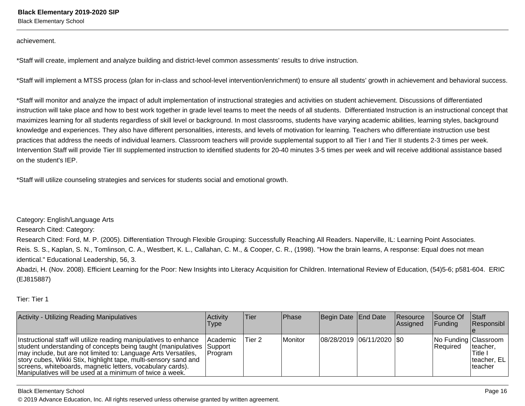Black Elementary School

achievement.

\* Staff will create, implement and analyze building and district-level common assessments' results to drive instruction.

\* Staff will implement a MTSS process (plan for in-class and school-level intervention/enrichment) to ensure all students' growth in achievement and behavioral success.

\* Staff will monitor and analyze the impact of adult implementation of instructional strategies and activities on student achievement. Discussions of differentiatedinstruction will take place and how to best work together in grade level teams to meet the needs of all students. Differentiated Instruction is an instructional concept that maximizes learning for all students regardless of skill level or background. In most classrooms, students have varying academic abilities, learning styles, backgroundknowledge and experiences. They also have different personalities, interests, and levels of motivation for learning. Teachers who differentiate instruction use bestpractices that address the needs of individual learners. Classroom teachers will provide supplemental support to all Tier I and Tier II students 2-3 times per week.Intervention Staff will provide Tier III supplemented instruction to identified students for 20-40 minutes 3-5 times per week and will receive additional assistance basedon the student's IEP.

\* Staff will utilize counseling strategies and services for students social and emotional growth.

Category: English/Language Arts

Research Cited: Category:

Research Cited: Ford, M. P. (2005). Differentiation Through Flexible Grouping: Successfully Reaching All Readers. Naperville, IL: Learning Point Associates.Reis. S. S., Kaplan, S. N., Tomlinson, C. A., Westbert, K. L., Callahan, C. M., & Cooper, C. R., (1998). "How the brain learns, A response: Equal does not meanidentical." Educational Leadership, 56, 3.

Abadzi, H. (Nov. 2008). Efficient Learning for the Poor: New Insights into Literacy Acquisition for Children. International Review of Education, (54)5-6; p581-604. ERIC(EJ815887)

Tier: Tier 1

| <b>Activity - Utilizing Reading Manipulatives</b>                                                                                                                                                                                                                                                                                                                                                         | <b>Activity</b><br><b>Type</b>      | lTier. | <b>IPhase</b> | Begin Date End Date       | <b>Resource</b><br><b>Assigned</b> | <b>Source Of</b><br><b>Funding</b>      | <b>Staff</b><br>Responsibl                       |
|-----------------------------------------------------------------------------------------------------------------------------------------------------------------------------------------------------------------------------------------------------------------------------------------------------------------------------------------------------------------------------------------------------------|-------------------------------------|--------|---------------|---------------------------|------------------------------------|-----------------------------------------|--------------------------------------------------|
| Instructional staff will utilize reading manipulatives to enhance<br>student understanding of concepts being taught (manipulatives Support<br>may include, but are not limited to: Language Arts Versatiles,<br>story cubes, Wikki Stix, highlight tape, multi-sensory sand and<br>screens, whiteboards, magnetic letters, vocabulary cards).<br>Manipulatives will be used at a minimum of twice a week. | <b>IAcademic</b><br><b>IProgram</b> | Tier 2 | Monitor       | 08/28/2019 06/11/2020 \$0 |                                    | No Funding Classroom<br><b>Required</b> | Iteacher,<br>'Title I<br>teacher, EL<br>Iteacher |

Black Elementary School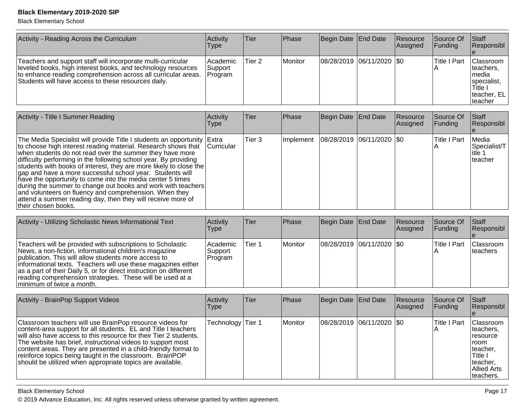Black Elementary School

| Activity - Reading Across the Curriculum                                                                                                                                                                                                             | Activity<br>Type               | Tier              | Phase     | Begin Date End Date         | <b>Resource</b><br>Assigned | lSource Of<br><b>Funding</b> | Staff<br>Responsibl                                                                           |
|------------------------------------------------------------------------------------------------------------------------------------------------------------------------------------------------------------------------------------------------------|--------------------------------|-------------------|-----------|-----------------------------|-----------------------------|------------------------------|-----------------------------------------------------------------------------------------------|
| Teachers and support staff will incorporate multi-curricular<br>leveled books, high interest books, and technology resources<br>to enhance reading comprehension across all curricular areas.<br>Students will have access to these resources daily. | Academic<br>Support<br>Program | Tier 2            | l Monitor | 08/28/2019  06/11/2020  \$0 |                             | <b>Title I Part</b>          | <b>IClassroom</b><br>teachers.<br>Imedia<br>specialist,<br>Title I<br>teacher, EL<br>Iteacher |
| Activity - Title I Summer Reading                                                                                                                                                                                                                    | Activity                       | <b>Tier</b>       | Phase     | Begin Date End Date         | <b>Resource</b>             | Source Of                    | <b>Staff</b>                                                                                  |
|                                                                                                                                                                                                                                                      | Type                           |                   |           |                             | Assigned                    | <b>IFunding</b>              | <b>Responsibl</b>                                                                             |
| The Media Specialist will provide Title I students an opportunity Extra<br>$\pm$ to choose bigh interest reading meterial. Because choun that $\Box$ curricular                                                                                      |                                | Tier <sub>3</sub> | Implement | 08/28/2019  06/11/2020  \$0 |                             | <b>Title I Part</b>          | Media<br>$\mathsf{Conociolio+}\mathsf{\pi}$                                                   |

| to choose high interest reading material. Research shows that Curricular | . | . | . | ______________________________ |  | <br>Specialist/T |
|--------------------------------------------------------------------------|---|---|---|--------------------------------|--|------------------|
| when students do not read over the summer they have more                 |   |   |   |                                |  | litle 1          |
| difficulty performing in the following school year. By providing         |   |   |   |                                |  | Iteacher         |
| students with books of interest, they are more likely to close the       |   |   |   |                                |  |                  |
| gap and have a more successful school year. Students will                |   |   |   |                                |  |                  |
| have the opportunity to come into the media center 5 times               |   |   |   |                                |  |                  |
| during the summer to change out books and work with teachers             |   |   |   |                                |  |                  |
| and volunteers on fluency and comprehension. When they                   |   |   |   |                                |  |                  |
| attend a summer reading day, then they will receive more of              |   |   |   |                                |  |                  |
| Itheir chosen books.                                                     |   |   |   |                                |  |                  |

| Activity - Utilizing Scholastic News Informational Text                                                                                                                                                                                                                                                                                                                                                        | Activity<br>Type                 | Tier   | <b>IPhase</b> | Begin Date   End Date       | Resource<br>Assigned | <b>Source Of</b><br>$\vert$ Funding | <b>Staff</b><br>Responsibl |
|----------------------------------------------------------------------------------------------------------------------------------------------------------------------------------------------------------------------------------------------------------------------------------------------------------------------------------------------------------------------------------------------------------------|----------------------------------|--------|---------------|-----------------------------|----------------------|-------------------------------------|----------------------------|
| Teachers will be provided with subscriptions to Scholastic<br>News, a non-fiction, informational children's magazine<br>publication. This will allow students more access to<br>informational texts. Teachers will use these magazines either<br>as a part of their Daily 5, or for direct instruction on different<br>reading comprehension strategies. These will be used at a<br>Iminimum of twice a month. | l Academic<br>Support<br>Program | Tier 1 | l Monitor     | 08/28/2019  06/11/2020  \$0 |                      | lTitle I Part                       | Classroom<br>Iteachers     |

| Activity - BrainPop Support Videos                                                                                                                                                                                                                                                                                                                                                                                                                         | Activity<br><b>Type</b> | Tier | <b>Phase</b> | Begin Date End Date |                             | Resource<br>Assigned | Source Of<br> Funding | <b>Staff</b><br>Responsibl                                                                                                   |
|------------------------------------------------------------------------------------------------------------------------------------------------------------------------------------------------------------------------------------------------------------------------------------------------------------------------------------------------------------------------------------------------------------------------------------------------------------|-------------------------|------|--------------|---------------------|-----------------------------|----------------------|-----------------------|------------------------------------------------------------------------------------------------------------------------------|
| Classroom teachers will use BrainPop resource videos for<br>content-area support for all students. EL and Title I teachers<br>will also have access to this resource for their Tier 2 students.<br>The website has brief, instructional videos to support most<br>content areas. They are presented in a child-friendly format to<br>reinforce topics being taught in the classroom. BrainPOP<br>should be utilized when appropriate topics are available. | Technology Tier 1       |      | Monitor      |                     | 08/28/2019 06/11/2020   \$0 |                      | Title I Part          | <b>IClassroom</b><br>Iteachers.<br>Tresource<br>Troom<br>Iteacher.<br>Title I<br>teacher,<br><b>Allied Arts</b><br>teachers. |

Black Elementary School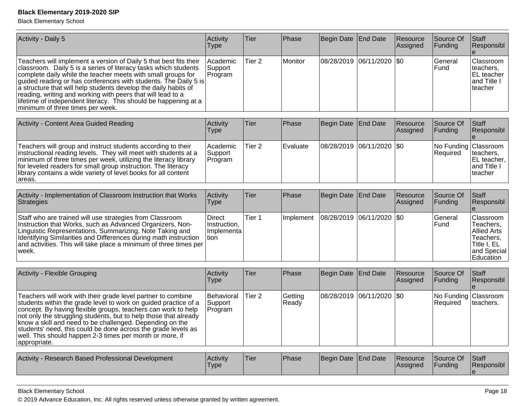Black Elementary School

| Activity - Daily 5                                                                                                                                                                                                                                                                                                                                                                                                                                                                                               | Activity<br><b>Type</b>                             | Tier              | Phase            | <b>Begin Date</b> | End Date        | Resource<br>Assigned | Source Of<br>Funding   | Staff<br>Responsibl                                                                                  |
|------------------------------------------------------------------------------------------------------------------------------------------------------------------------------------------------------------------------------------------------------------------------------------------------------------------------------------------------------------------------------------------------------------------------------------------------------------------------------------------------------------------|-----------------------------------------------------|-------------------|------------------|-------------------|-----------------|----------------------|------------------------|------------------------------------------------------------------------------------------------------|
| Teachers will implement a version of Daily 5 that best fits their<br>classroom. Daily 5 is a series of literacy tasks which students<br>complete daily while the teacher meets with small groups for<br>guided reading or has conferences with students. The Daily 5 is<br>a structure that will help students develop the daily habits of<br>reading, writing and working with peers that will lead to a<br>lifetime of independent literacy. This should be happening at a<br>minimum of three times per week. | Academic<br>Support<br>Program                      | Tier 2            | Monitor          | 08/28/2019        | 06/11/2020      | $ $ \$0              | General<br>Fund        | Classroom<br>teachers,<br>EL teacher<br>and Title I<br>teacher                                       |
| Activity - Content Area Guided Reading                                                                                                                                                                                                                                                                                                                                                                                                                                                                           | Activity<br><b>Type</b>                             | Tier              | Phase            | <b>Begin Date</b> | <b>End Date</b> | Resource<br>Assigned | Source Of<br>Funding   | Staff<br>Responsibl<br>$\boldsymbol{\Theta}$                                                         |
| Teachers will group and instruct students according to their<br>instructional reading levels. They will meet with students at a<br>minimum of three times per week, utilizing the literacy library<br>for leveled readers for small group instruction. The literacy<br>library contains a wide variety of level books for all content<br>areas.                                                                                                                                                                  | Academic<br>Support<br>Program                      | Tier 2            | Evaluate         | 08/28/2019        | 06/11/2020 \$0  |                      | No Funding<br>Required | Classroom<br>teachers.<br>EL teacher,<br>and Title I<br>teacher                                      |
| Activity - Implementation of Classroom Instruction that Works<br>Strategies                                                                                                                                                                                                                                                                                                                                                                                                                                      | Activity<br><b>Type</b>                             | Tier              | Phase            | <b>Begin Date</b> | <b>End Date</b> | Resource<br>Assigned | Source Of<br>Funding   | Staff<br>Responsibl                                                                                  |
| Staff who are trained will use strategies from Classroom<br>Instruction that Works, such as Advanced Organizers, Non-<br>Linguistic Representations, Summarizing, Note Taking and<br>Identifying Similarities and Differences during math instruction<br>and activities. This will take place a minimum of three times per<br>week.                                                                                                                                                                              | <b>Direct</b><br>Instruction,<br>Implementa<br>tion | Tier 1            | Implement        | 08/28/2019        | 06/11/2020      | I\$0                 | General<br>Fund        | Classroom<br>Teachers,<br><b>Allied Arts</b><br>Teachers,<br>Title I, EL<br>and Special<br>Education |
| Activity - Flexible Grouping                                                                                                                                                                                                                                                                                                                                                                                                                                                                                     | Activity<br><b>Type</b>                             | Tier              | Phase            | <b>Begin Date</b> | <b>End Date</b> | Resource<br>Assigned | Source Of<br>Funding   | Staff<br>Responsibl                                                                                  |
| Teachers will work with their grade level partner to combine<br>students within the grade level to work on guided practice of a<br>concept. By having flexible groups, teachers can work to help<br>not only the struggling students, but to help those that already<br>know a skill and need to be challenged. Depending on the<br>students' need, this could be done across the grade levels as<br>well. This should happen 2-3 times per month or more, if<br>appropriate.                                    | Behavioral<br>Support<br>Program                    | Tier <sub>2</sub> | Getting<br>Ready | 08/28/2019        | 06/11/2020      | $\sqrt{50}$          | No Funding<br>Required | Classroom<br>teachers.                                                                               |
| Activity - Research Based Professional Development                                                                                                                                                                                                                                                                                                                                                                                                                                                               | Activity<br>Type                                    | Tier              | Phase            | <b>Begin Date</b> | <b>End Date</b> | Resource<br>Assigned | Source Of<br>Funding   | Staff<br>Responsibl<br>le.                                                                           |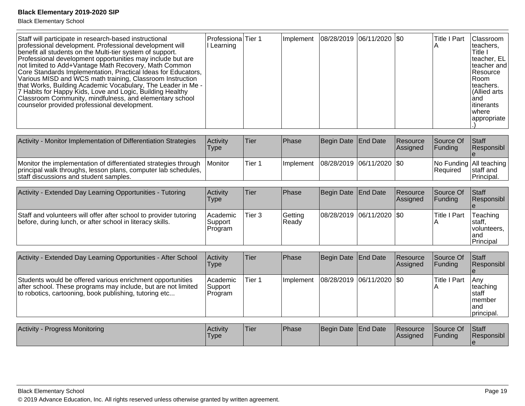| professional development. Professional development will<br>II Learning<br>benefit all students on the Multi-tier system of support.<br>Professional development opportunities may include but are<br>not limited to Add+Vantage Math Recovery, Math Common<br>Core Standards Implementation, Practical Ideas for Educators,<br>Various MISD and WCS math training, Classroom Instruction<br>that Works, Building Academic Vocabulary, The Leader in Me -<br>7 Habits for Happy Kids, Love and Logic, Building Healthy<br>Classroom Community, mindfulness, and elementary school<br>counselor provided professional development. |  |  |  |  |  | teachers.<br>Title I<br>Iteacher, EL I<br>Iteacher and<br><b>Resource</b><br>IRoom.<br>Iteachers.<br>Allied arts<br>land<br>litinerants<br>Iwhere<br>appropriate |
|----------------------------------------------------------------------------------------------------------------------------------------------------------------------------------------------------------------------------------------------------------------------------------------------------------------------------------------------------------------------------------------------------------------------------------------------------------------------------------------------------------------------------------------------------------------------------------------------------------------------------------|--|--|--|--|--|------------------------------------------------------------------------------------------------------------------------------------------------------------------|
|----------------------------------------------------------------------------------------------------------------------------------------------------------------------------------------------------------------------------------------------------------------------------------------------------------------------------------------------------------------------------------------------------------------------------------------------------------------------------------------------------------------------------------------------------------------------------------------------------------------------------------|--|--|--|--|--|------------------------------------------------------------------------------------------------------------------------------------------------------------------|

| Activity - Monitor Implementation of Differentiation Strategies                                                                                                             | Activity<br>Type | <b>Tier</b> | <b>Phase</b>                              | Begin Date End Date | <b>Resource</b><br>Assigned | Source Of<br><b>IFunding</b> | <b>Staff</b><br><b>Responsibl</b>                              |
|-----------------------------------------------------------------------------------------------------------------------------------------------------------------------------|------------------|-------------|-------------------------------------------|---------------------|-----------------------------|------------------------------|----------------------------------------------------------------|
| Monitor the implementation of differentiated strategies through<br>principal walk throughs, lesson plans, computer lab schedules,<br>staff discussions and student samples. | l Monitor        | lTier 1     | Implement   08/28/2019   06/11/2020   \$0 |                     |                             | <b>Required</b>              | No Funding   All teaching  <br>Istaff and<br><b>Principal.</b> |

| Activity - Extended Day Learning Opportunities - Tutoring                                                                      | <b>Activity</b><br>Type               | Tier   | <b>Phase</b>      | Begin Date End Date           | <b>Resource</b><br>Assigned | <b>Source Of</b><br>IFundina | <b>Staff</b><br>Responsibl                               |
|--------------------------------------------------------------------------------------------------------------------------------|---------------------------------------|--------|-------------------|-------------------------------|-----------------------------|------------------------------|----------------------------------------------------------|
| Staff and volunteers will offer after school to provider tutoring<br>before, during lunch, or after school in literacy skills. | <b>Academic</b><br>Support<br>Program | Tier 3 | Getting<br>IReadv | $ 08/28/2019 06/11/2020 $ \$0 |                             | lTitle I Part                | Teaching<br>Istaff.<br>Ivolunteers.<br>land<br>Principal |

| Activity - Extended Day Learning Opportunities - After School                                                                                                                         | <b>Activity</b><br>Type         | <b>Tier</b> | <b>Phase</b>      | Begin Date   End Date |                               | Resource<br>Assigned | Source Of<br> Fundina | Staff<br>Responsibl                                          |
|---------------------------------------------------------------------------------------------------------------------------------------------------------------------------------------|---------------------------------|-------------|-------------------|-----------------------|-------------------------------|----------------------|-----------------------|--------------------------------------------------------------|
| Students would be offered various enrichment opportunities<br>after school. These programs may include, but are not limited<br>to robotics, cartooning, book publishing, tutoring etc | Academic <br>Support<br>Program | Tier 1      | <b>Ilmplement</b> |                       | $ 08/28/2019 06/11/2020 $ \$0 |                      | <b>Title I Part</b>   | lAnv<br>∣teaching<br>Istaff<br>Imember<br>land<br>principal. |

| <b>Activity - Progress Monitoring</b> | Activity<br>'Type | 'Tier | <b>Phase</b> | Begin Date End Date | Resource<br><b>Assigned</b> | Source Of<br>Funding | <b>Staff</b><br><b>Responsibl</b> |
|---------------------------------------|-------------------|-------|--------------|---------------------|-----------------------------|----------------------|-----------------------------------|
|                                       |                   |       |              |                     |                             |                      |                                   |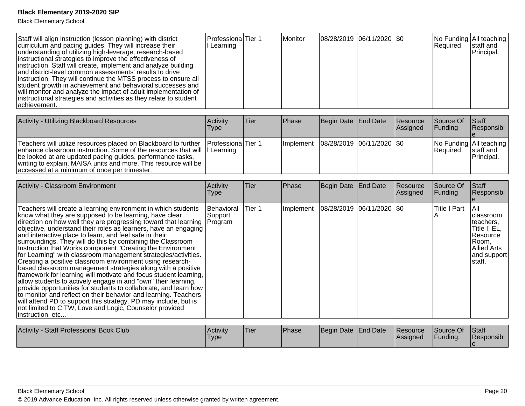| Staff will align instruction (lesson planning) with district<br>curriculum and pacing guides. They will increase their<br>understanding of utilizing high-leverage, research-based<br>instructional strategies to improve the effectiveness of<br>instruction. Staff will create, implement and analyze building<br>and district-level common assessments' results to drive<br>instruction. They will continue the MTSS process to ensure all<br>student growth in achievement and behavioral successes and<br>will monitor and analyze the impact of adult implementation of<br>instructional strategies and activities as they relate to student<br>achievement.                                                                                                                                                                                                                                                                                                                                                                                                                | Professiona<br>I Learning        | Tier 1            | Monitor      |                     | 08/28/2019 06/11/2020 \$0   |                      | No Funding All teaching<br>Required | staff and<br>Principal.                                                                                            |
|-----------------------------------------------------------------------------------------------------------------------------------------------------------------------------------------------------------------------------------------------------------------------------------------------------------------------------------------------------------------------------------------------------------------------------------------------------------------------------------------------------------------------------------------------------------------------------------------------------------------------------------------------------------------------------------------------------------------------------------------------------------------------------------------------------------------------------------------------------------------------------------------------------------------------------------------------------------------------------------------------------------------------------------------------------------------------------------|----------------------------------|-------------------|--------------|---------------------|-----------------------------|----------------------|-------------------------------------|--------------------------------------------------------------------------------------------------------------------|
| Activity - Utilizing Blackboard Resources                                                                                                                                                                                                                                                                                                                                                                                                                                                                                                                                                                                                                                                                                                                                                                                                                                                                                                                                                                                                                                         | Activity<br><b>Type</b>          | Tier              | Phase        | <b>Begin Date</b>   | <b>End Date</b>             | Resource<br>Assigned | Source Of<br>Funding                | Staff<br>Responsibl                                                                                                |
| Teachers will utilize resources placed on Blackboard to further<br>enhance classroom instruction. Some of the resources that will<br>be looked at are updated pacing guides, performance tasks,<br>writing to explain, MAISA units and more. This resource will be<br>accessed at a minimum of once per trimester.                                                                                                                                                                                                                                                                                                                                                                                                                                                                                                                                                                                                                                                                                                                                                                | Professiona<br>I Learning        | Tier 1            | Implement    |                     | 08/28/2019 06/11/2020  \$0  |                      | No Funding All teaching<br>Required | staff and<br>Principal.                                                                                            |
| Activity - Classroom Environment                                                                                                                                                                                                                                                                                                                                                                                                                                                                                                                                                                                                                                                                                                                                                                                                                                                                                                                                                                                                                                                  | Activity<br><b>Type</b>          | Tier              | Phase        | <b>Begin Date</b>   | <b>End Date</b>             | Resource<br>Assigned | Source Of<br>Funding                | Staff<br>Responsibl                                                                                                |
| Teachers will create a learning environment in which students<br>know what they are supposed to be learning, have clear<br>direction on how well they are progressing toward that learning<br>objective, understand their roles as learners, have an engaging<br>and interactive place to learn, and feel safe in their<br>surroundings. They will do this by combining the Classroom<br>Instruction that Works component "Creating the Environment"<br>for Learning" with classroom management strategies/activities.<br>Creating a positive classroom environment using research-<br>based classroom management strategies along with a positive<br>framework for learning will motivate and focus student learning,<br>allow students to actively engage in and "own" their learning,<br>provide opportunities for students to collaborate, and learn how<br>to monitor and reflect on their behavior and learning. Teachers<br>will attend PD to support this strategy. PD may include, but is<br>not limited to CITW, Love and Logic, Counselor provided<br>instruction, etc | Behavioral<br>Support<br>Program | Tier <sub>1</sub> | Implement    |                     | 08/28/2019  06/11/2020  \$0 |                      | <b>Title I Part</b>                 | laii<br>classroom<br>teachers.<br>Title I, EL,<br>Resource<br>Room,<br><b>Allied Arts</b><br>and support<br>staff. |
| <b>Activity - Staff Professional Book Club</b>                                                                                                                                                                                                                                                                                                                                                                                                                                                                                                                                                                                                                                                                                                                                                                                                                                                                                                                                                                                                                                    | Activity                         | <b>Tier</b>       | <b>Phase</b> | Begin Date End Date |                             | Resource             | Source Of                           | Staff                                                                                                              |

| - Staff Professional Book Club<br><b>Activity</b> | <b>Activity</b><br>'Type | 'Tier | Phase | Begin Date End Date |  | <b>Resource</b><br><b>IAssigned</b> | Source Of<br><b>Funding</b> | <b>Staff</b><br>∣Responsibl |  |
|---------------------------------------------------|--------------------------|-------|-------|---------------------|--|-------------------------------------|-----------------------------|-----------------------------|--|
|---------------------------------------------------|--------------------------|-------|-------|---------------------|--|-------------------------------------|-----------------------------|-----------------------------|--|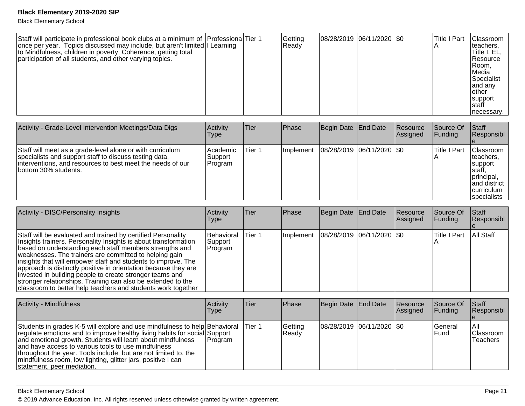Black Elementary School

| Staff will participate in professional book clubs at a minimum of Professiona Tier 1<br>once per year. Topics discussed may include, but aren't limited   Learning<br>to Mindfulness, children in poverty, Coherence, getting total<br>participation of all students, and other varying topics. |  |  | Getting<br>Ready | 08/28/2019 06/11/2020 \$0 |  |  | <b>Title I Part</b> | Classroom<br>lteachers.<br>Title I, EL,<br>Resource<br> Room.<br>Media<br>Specialist<br>and any<br>lother<br>support<br>Istaff<br>necessary. |
|-------------------------------------------------------------------------------------------------------------------------------------------------------------------------------------------------------------------------------------------------------------------------------------------------|--|--|------------------|---------------------------|--|--|---------------------|----------------------------------------------------------------------------------------------------------------------------------------------|
|-------------------------------------------------------------------------------------------------------------------------------------------------------------------------------------------------------------------------------------------------------------------------------------------------|--|--|------------------|---------------------------|--|--|---------------------|----------------------------------------------------------------------------------------------------------------------------------------------|

| Activity - Grade-Level Intervention Meetings/Data Digs                                                                                                                                                     | Activity<br>Type                       | lTier  | <b>Phase</b> | Begin Date End Date       | <b>Resource</b><br><b>Assigned</b> | lSource Of<br>IFundina l | <b>Staff</b><br>Responsibl                                                                                      |
|------------------------------------------------------------------------------------------------------------------------------------------------------------------------------------------------------------|----------------------------------------|--------|--------------|---------------------------|------------------------------------|--------------------------|-----------------------------------------------------------------------------------------------------------------|
| Staff will meet as a grade-level alone or with curriculum<br>specialists and support staff to discuss testing data,<br>interventions, and resources to best meet the needs of our<br>lbottom 30% students. | <b>Academic</b><br>Support<br> Program | Tier 1 | Implement    | 08/28/2019 06/11/2020 \$0 |                                    | Title I Part             | <b>Classroom</b><br>Iteachers.<br>support<br>staff,<br>principal,<br>land district<br>curriculum<br>specialists |

| Activity - DISC/Personality Insights                                                                                                                                                                                                                                                                                                                                                                                                                                                                                                                                                 | Activity<br><b>Type</b>          | lTier. | <b>Phase</b> | Begin Date End Date                       | Resource<br>Assigned | Source Of<br> Funding | Staff<br>Responsibl |
|--------------------------------------------------------------------------------------------------------------------------------------------------------------------------------------------------------------------------------------------------------------------------------------------------------------------------------------------------------------------------------------------------------------------------------------------------------------------------------------------------------------------------------------------------------------------------------------|----------------------------------|--------|--------------|-------------------------------------------|----------------------|-----------------------|---------------------|
| Staff will be evaluated and trained by certified Personality<br>Insights trainers. Personality Insights is about transformation<br>based on understanding each staff members strengths and<br>weaknesses. The trainers are committed to helping gain<br>insights that will empower staff and students to improve. The<br>approach is distinctly positive in orientation because they are<br>invested in building people to create stronger teams and<br>stronger relationships. Training can also be extended to the<br>classroom to better help teachers and students work together | Behavioral<br>Support<br>Program | Tier 1 |              | Implement   08/28/2019   06/11/2020   \$0 |                      | Title I Part          | All Staff           |

| Activity - Mindfulness                                                                                                                                                                                                                                                                                                                                                                                                                         | Activity<br><b>Type</b> | Tier    | <b>IPhase</b>    | Begin Date End Date           | Resource<br>Assigned | <b>Source Of</b><br><b>IFunding</b> | <b>Staff</b><br>Responsibl            |
|------------------------------------------------------------------------------------------------------------------------------------------------------------------------------------------------------------------------------------------------------------------------------------------------------------------------------------------------------------------------------------------------------------------------------------------------|-------------------------|---------|------------------|-------------------------------|----------------------|-------------------------------------|---------------------------------------|
| Students in grades K-5 will explore and use mindfulness to help Behavioral<br>regulate emotions and to improve healthy living habits for social Support<br>and emotional growth. Students will learn about mindfulness<br>and have access to various tools to use mindfulness<br>throughout the year. Tools include, but are not limited to, the<br>mindfulness room, low lighting, glitter jars, positive I can<br>statement, peer mediation. | Program                 | ⊺Tier 1 | Getting<br>Ready | $ 08/28/2019 06/11/2020 $ \$0 |                      | <b>IGeneral</b><br><b>IFund</b>     | IAII<br> Classroom<br><b>Teachers</b> |

Black Elementary School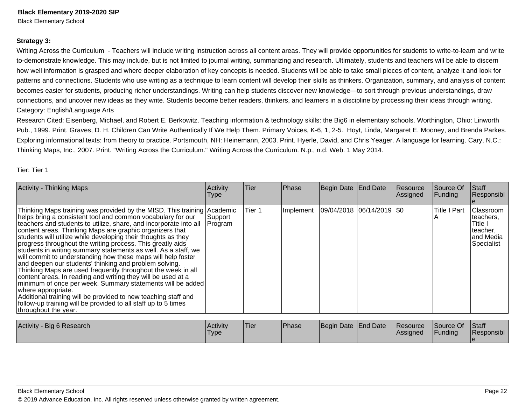Black Elementary School

#### **Strategy 3:**

Writing Across the Curriculum - Teachers will include writing instruction across all content areas. They will provide opportunities for students to write-to-learn and writeto-demonstrate knowledge. This may include, but is not limited to journal writing, summarizing and research. Ultimately, students and teachers will be able to discernhow well information is grasped and where deeper elaboration of key concepts is needed. Students will be able to take small pieces of content, analyze it and look forpatterns and connections. Students who use writing as a technique to learn content will develop their skills as thinkers. Organization, summary, and analysis of contentbecomes easier for students, producing richer understandings. Writing can help students discover new knowledge—to sort through previous understandings, draw connections, and uncover new ideas as they write. Students become better readers, thinkers, and learners in a discipline by processing their ideas through writing. Category: English/Language Arts

Research Cited: Eisenberg, Michael, and Robert E. Berkowitz. Teaching information & technology skills: the Big6 in elementary schools. Worthington, Ohio: LinworthPub., 1999. Print. Graves, D. H. Children Can Write Authentically If We Help Them. Primary Voices, K-6, 1, 2-5. Hoyt, Linda, Margaret E. Mooney, and Brenda Parkes.Exploring informational texts: from theory to practice. Portsmouth, NH: Heinemann, 2003. Print. Hyerle, David, and Chris Yeager. A language for learning. Cary, N.C.:Thinking Maps, Inc., 2007. Print. "Writing Across the Curriculum." Writing Across the Curriculum. N.p., n.d. Web. 1 May 2014.

|  | Tier: Tier 1 |  |
|--|--------------|--|
|  |              |  |

| <b>Activity - Thinking Maps</b>                                                                                                                                                                                                                                                                                                                                                                                                                                                                                                                                                                                                                                                                                                                                                                                                                                                                                                                                                    | Activity<br>Type    | <b>Tier</b> | Phase     | Begin Date End Date                                                     | Resource<br>Assigned | Source Of<br>Funding  | Staff<br>Responsibl                                                             |
|------------------------------------------------------------------------------------------------------------------------------------------------------------------------------------------------------------------------------------------------------------------------------------------------------------------------------------------------------------------------------------------------------------------------------------------------------------------------------------------------------------------------------------------------------------------------------------------------------------------------------------------------------------------------------------------------------------------------------------------------------------------------------------------------------------------------------------------------------------------------------------------------------------------------------------------------------------------------------------|---------------------|-------------|-----------|-------------------------------------------------------------------------|----------------------|-----------------------|---------------------------------------------------------------------------------|
| Thinking Maps training was provided by the MISD. This training Academic<br>helps bring a consistent tool and common vocabulary for our<br>teachers and students to utilize, share, and incorporate into all<br>content areas. Thinking Maps are graphic organizers that<br>students will utilize while developing their thoughts as they<br>progress throughout the writing process. This greatly aids<br>students in writing summary statements as well. As a staff, we<br>will commit to understanding how these maps will help foster<br>and deepen our students' thinking and problem solving.<br>Thinking Maps are used frequently throughout the week in all<br>content areas. In reading and writing they will be used at a<br>minimum of once per week. Summary statements will be added<br>where appropriate.<br>Additional training will be provided to new teaching staff and<br>follow-up training will be provided to all staff up to 5 times<br>throughout the year. | Support<br> Program | Tier 1      | Implement | 09/04/2018 06/14/2019 0                                                 |                      | <b>Title I Part</b>   | <b>Classroom</b><br>teachers,<br>Title I<br>teacher,<br>and Media<br>Specialist |
| Activity Rio & Pocoarch                                                                                                                                                                                                                                                                                                                                                                                                                                                                                                                                                                                                                                                                                                                                                                                                                                                                                                                                                            | $A$ ctivity         | Tior        | Dh        | $\Gamma$ $\Gamma$ $\Gamma$ $\Gamma$ $\Gamma$ $\Gamma$ $\Gamma$ $\Gamma$ | $D^{\text{c}}$       | $\mathsf{C}$ ouroo Of | $C + \alpha$ ff                                                                 |

| Activity - Big 6 Research | Activitv<br>'Type | 'Tier | <b>Phase</b> | Begin Date End Date |  | <b>Resource</b><br><b>Assigned</b> | $\sim$<br><b>Source Of</b><br>Funding | <b>Staff</b><br>Responsibl |
|---------------------------|-------------------|-------|--------------|---------------------|--|------------------------------------|---------------------------------------|----------------------------|
|---------------------------|-------------------|-------|--------------|---------------------|--|------------------------------------|---------------------------------------|----------------------------|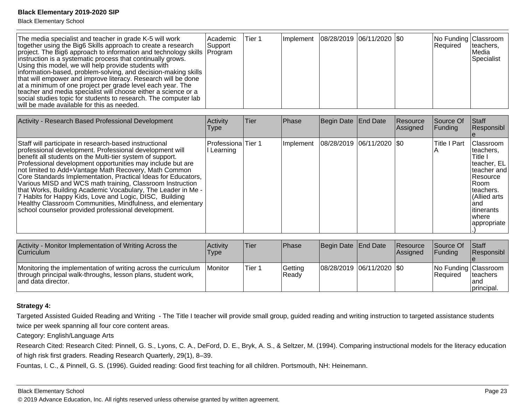Black Elementary School

| The media specialist and teacher in grade K-5 will work<br>together using the Big6 Skills approach to create a research<br>project. The Big6 approach to information and technology skills Program<br>instruction is a systematic process that continually grows.<br>Using this model, we will help provide students with<br>information-based, problem-solving, and decision-making skills<br>that will empower and improve literacy. Research will be done<br>at a minimum of one project per grade level each year. The<br>teacher and media specialist will choose either a science or a<br>social studies topic for students to research. The computer lab<br>will be made available for this as needed. | Academic<br>Support | lTier 1 |  |  | Implement   08/28/2019   06/11/2020   \$0 |  | No Funding Classroom<br>Required | Iteachers,<br>l Media<br>Specialist |
|---------------------------------------------------------------------------------------------------------------------------------------------------------------------------------------------------------------------------------------------------------------------------------------------------------------------------------------------------------------------------------------------------------------------------------------------------------------------------------------------------------------------------------------------------------------------------------------------------------------------------------------------------------------------------------------------------------------|---------------------|---------|--|--|-------------------------------------------|--|----------------------------------|-------------------------------------|
|---------------------------------------------------------------------------------------------------------------------------------------------------------------------------------------------------------------------------------------------------------------------------------------------------------------------------------------------------------------------------------------------------------------------------------------------------------------------------------------------------------------------------------------------------------------------------------------------------------------------------------------------------------------------------------------------------------------|---------------------|---------|--|--|-------------------------------------------|--|----------------------------------|-------------------------------------|

| Activity - Research Based Professional Development                                                                                                                                                                                                                                                                                                                                                                                                                                                                                                                                                                                                                                  | <b>Activity</b><br><b>Type</b> | Tier | Phase     | Begin Date End Date         | <b>Resource</b><br>Assigned | Source Of<br><b>Funding</b> | <b>Staff</b><br>Responsibl                                                                                                                                                         |
|-------------------------------------------------------------------------------------------------------------------------------------------------------------------------------------------------------------------------------------------------------------------------------------------------------------------------------------------------------------------------------------------------------------------------------------------------------------------------------------------------------------------------------------------------------------------------------------------------------------------------------------------------------------------------------------|--------------------------------|------|-----------|-----------------------------|-----------------------------|-----------------------------|------------------------------------------------------------------------------------------------------------------------------------------------------------------------------------|
| Staff will participate in research-based instructional<br>professional development. Professional development will<br>benefit all students on the Multi-tier system of support.<br>Professional development opportunities may include but are<br>not limited to Add+Vantage Math Recovery, Math Common<br>Core Standards Implementation, Practical Ideas for Educators,<br>Various MISD and WCS math training, Classroom Instruction<br>that Works, Building Academic Vocabulary, The Leader in Me -<br>7 Habits for Happy Kids, Love and Logic, DISC, Building<br>Healthy Classroom Communities, Mindfulness, and elementary<br>school counselor provided professional development. | Professiona Tier 1<br>Learning |      | Implement | 08/28/2019  06/11/2020  \$0 |                             | <b>Title I Part</b>         | Classroom<br>teachers.<br>Title I<br>teacher, EL<br>Iteacher and I<br><b>Resource</b><br><b>IRoom</b><br>Iteachers.<br>Allied arts<br>land<br>litinerants<br>Iwhere<br>appropriate |

| Activity - Monitor Implementation of Writing Across the<br><b>Curriculum</b>                                                                          | <b>Activity</b><br><b>Type</b> | Tier   | <b>IPhase</b>           | Begin Date End Date           | <b>Resource</b><br><b>Assianed</b> | <b>Source Of</b><br><b>IFundina</b> | <b>Staff</b><br><b>Responsibl</b>                       |
|-------------------------------------------------------------------------------------------------------------------------------------------------------|--------------------------------|--------|-------------------------|-------------------------------|------------------------------------|-------------------------------------|---------------------------------------------------------|
| Monitoring the implementation of writing across the curriculum<br>through principal walk-throughs, lesson plans, student work,<br>land data director. | <i>I</i> Monitor               | Tier 1 | Getting<br><b>Readv</b> | $ 08/28/2019 06/11/2020 $ \$0 |                                    | l Reauired                          | No Funding Classroom<br>Iteachers<br>land<br>principal. |

### **Strategy 4:**

Targeted Assisted Guided Reading and Writing - The Title I teacher will provide small group, guided reading and writing instruction to targeted assistance studentstwice per week spanning all four core content areas.

Category: English/Language Arts

Research Cited: Research Cited: Pinnell, G. S., Lyons, C. A., DeFord, D. E., Bryk, A. S., & Seltzer, M. (1994). Comparing instructional models for the literacy education of high risk first graders. Reading Research Quarterly, 29(1), 8–39.

Fountas, I. C., & Pinnell, G. S. (1996). Guided reading: Good first teaching for all children. Portsmouth, NH: Heinemann.

#### Black Elementary School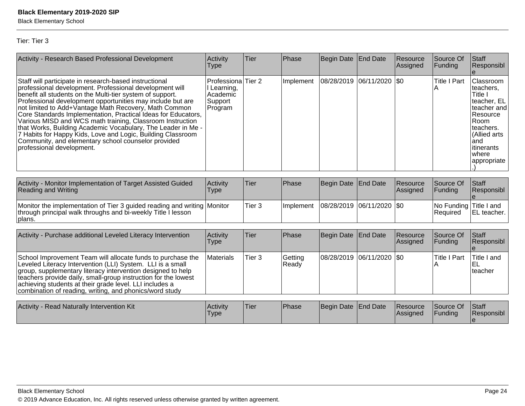Black Elementary School

Tier: Tier 3

| Activity - Research Based Professional Development                                                                                                                                                                                                                                                                                                                                                                                                                                                                                                                                                                                                     | Activity<br><b>Type</b>                                      | Tier                    | Phase            | Begin Date                                                              | <b>End Date</b> | Resource<br>Assigned | Source Of<br>Funding               | Staff<br>Responsibl                                                                                                                                               |
|--------------------------------------------------------------------------------------------------------------------------------------------------------------------------------------------------------------------------------------------------------------------------------------------------------------------------------------------------------------------------------------------------------------------------------------------------------------------------------------------------------------------------------------------------------------------------------------------------------------------------------------------------------|--------------------------------------------------------------|-------------------------|------------------|-------------------------------------------------------------------------|-----------------|----------------------|------------------------------------|-------------------------------------------------------------------------------------------------------------------------------------------------------------------|
| Staff will participate in research-based instructional<br>professional development. Professional development will<br>benefit all students on the Multi-tier system of support.<br>Professional development opportunities may include but are<br>not limited to Add+Vantage Math Recovery, Math Common<br>Core Standards Implementation, Practical Ideas for Educators,<br>Various MISD and WCS math training, Classroom Instruction<br>that Works, Building Academic Vocabulary, The Leader in Me -<br>7 Habits for Happy Kids, Love and Logic, Building Classroom<br>Community, and elementary school counselor provided<br>professional development. | Professiona<br>I Learning,<br>Academic<br>Support<br>Program | Tier <sub>2</sub>       | Implement        | 08/28/2019                                                              | 06/11/2020      | \$0                  | <b>Title I Part</b><br>ΙA          | Classroom<br>teachers,<br>Title I<br>teacher, EL<br>teacher and<br>Resource<br>Room<br>teachers.<br>(Allied arts)<br>land<br>litinerants<br>where<br> appropriate |
| Activity - Monitor Implementation of Target Assisted Guided<br><b>Reading and Writing</b>                                                                                                                                                                                                                                                                                                                                                                                                                                                                                                                                                              | Activity<br><b>Type</b>                                      | Tier                    | Phase            | Begin Date                                                              | <b>End Date</b> | Resource<br>Assigned | Source Of<br>Funding               | Staff<br>Responsibl                                                                                                                                               |
| Monitor the implementation of Tier 3 guided reading and writing Monitor<br>through principal walk throughs and bi-weekly Title I lesson<br>plans.                                                                                                                                                                                                                                                                                                                                                                                                                                                                                                      |                                                              | Tier <sub>3</sub>       | Implement        | 08/28/2019                                                              | 06/11/2020  \$0 |                      | No Funding Title I and<br>Required | EL teacher.                                                                                                                                                       |
| Activity - Purchase additional Leveled Literacy Intervention                                                                                                                                                                                                                                                                                                                                                                                                                                                                                                                                                                                           | Activity<br><b>Type</b>                                      | Tier                    | Phase            | Begin Date                                                              | <b>End Date</b> | Resource<br>Assigned | Source Of<br>Funding               | Staff<br>Responsibl                                                                                                                                               |
| School Improvement Team will allocate funds to purchase the<br>Leveled Literacy Intervention (LLI) System. LLI is a small<br>group, supplementary literacy intervention designed to help<br>teachers provide daily, small-group instruction for the lowest<br>achieving students at their grade level. LLI includes a<br>combination of reading, writing, and phonics/word study                                                                                                                                                                                                                                                                       | Materials                                                    | Tier <sub>3</sub>       | Getting<br>Ready | 08/28/2019                                                              | 06/11/2020      | \$0                  | <b>Title I Part</b><br>A           | Title I and<br>lel<br>teacher                                                                                                                                     |
| Anti-ity Depal Maturelly Interception 14th                                                                                                                                                                                                                                                                                                                                                                                                                                                                                                                                                                                                             | $A = 4.5 + 14.$                                              | $\overline{\mathbf{r}}$ | DĿ.              | $D_{\text{c}}$ and $D_{\text{c}}$ and $D_{\text{c}}$ and $D_{\text{c}}$ |                 |                      | $\sim$                             | $\alpha$ $\alpha$                                                                                                                                                 |

| <b>Activity - Read Naturally Intervention Kit</b> | <b>Activity</b><br>Type | 'Tier | <sup>I</sup> Phase | Begin Date End Date |  | Resource<br> Assigned | Source Of<br>Funding | <b>Staff</b><br>Responsibl |
|---------------------------------------------------|-------------------------|-------|--------------------|---------------------|--|-----------------------|----------------------|----------------------------|
|---------------------------------------------------|-------------------------|-------|--------------------|---------------------|--|-----------------------|----------------------|----------------------------|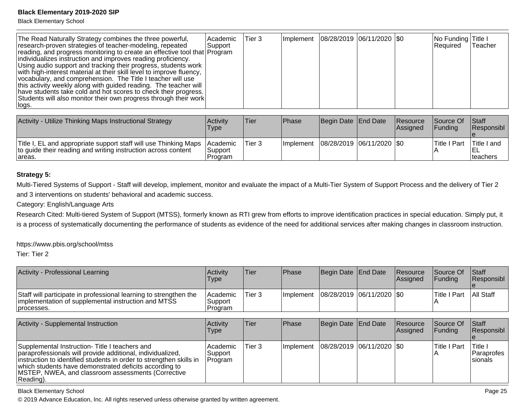Black Elementary School

| The Read Naturally Strategy combines the three powerful,<br>research-proven strategies of teacher-modeling, repeated<br>reading, and progress monitoring to create an effective tool that Program<br>individualizes instruction and improves reading proficiency.<br>Using audio support and tracking their progress, students work<br>with high-interest material at their skill level to improve fluency,<br>vocabulary, and comprehension. The Title I teacher will use<br>this activity weekly along with guided reading. The teacher will<br>have students take cold and hot scores to check their progress.<br>Students will also monitor their own progress through their work<br>∣logs. | Academic<br> Support | Tier 3 | Implement   08/28/2019   06/11/2020   \$0 |  | No Funding Title I<br>Required | Teacher |
|-------------------------------------------------------------------------------------------------------------------------------------------------------------------------------------------------------------------------------------------------------------------------------------------------------------------------------------------------------------------------------------------------------------------------------------------------------------------------------------------------------------------------------------------------------------------------------------------------------------------------------------------------------------------------------------------------|----------------------|--------|-------------------------------------------|--|--------------------------------|---------|
|                                                                                                                                                                                                                                                                                                                                                                                                                                                                                                                                                                                                                                                                                                 |                      |        |                                           |  |                                |         |

| Activity - Utilize Thinking Maps Instructional Strategy                                                                                      | Activity<br>Type                | <b>Tier</b> | <b>IPhase</b>    | Begin Date End Date         | <b>Resource</b><br><b>Assigned</b> | <b>Source Of</b><br><b>IFundina</b> | <b>Staff</b><br>Responsibl |
|----------------------------------------------------------------------------------------------------------------------------------------------|---------------------------------|-------------|------------------|-----------------------------|------------------------------------|-------------------------------------|----------------------------|
| Title I, EL and appropriate support staff will use Thinking Maps<br>to quide their reading and writing instruction across content<br>lareas. | lAcademic<br>Support<br>Program | Tier 3      | <b>Implement</b> | 08/28/2019  06/11/2020  \$0 |                                    | 'Title I Part                       | Title I and<br>Iteachers   |

#### **Strategy 5:**

Multi-Tiered Systems of Support - Staff will develop, implement, monitor and evaluate the impact of a Multi-Tier System of Support Process and the delivery of Tier 2and 3 interventions on students' behavioral and academic success.

Category: English/Language Arts

Research Cited: Multi-tiered System of Support (MTSS), formerly known as RTI grew from efforts to improve identification practices in special education. Simply put, it is a process of systematically documenting the performance of students as evidence of the need for additional services after making changes in classroom instruction.

https://www.pbis.org/school/mtss

Tier: Tier 2

| Activity - Professional Learning                                                                                                       | Activity<br>Type                 | Tier   | <b>IPhase</b>     | Begin Date End Date         | <b>Resource</b><br><b>Assigned</b> | <b>Source Of</b><br><b>IFundina</b> | <b>Staff</b><br><b>Responsibl</b> |
|----------------------------------------------------------------------------------------------------------------------------------------|----------------------------------|--------|-------------------|-----------------------------|------------------------------------|-------------------------------------|-----------------------------------|
| Staff will participate in professional learning to strengthen the<br>implementation of supplemental instruction and MTSS<br>processes. | l Academic<br>Support<br>Program | Tier 3 | <b>Ilmplement</b> | 08/28/2019  06/11/2020  \$0 |                                    | Title I Part                        | <b>All Staff</b>                  |

| Activity - Supplemental Instruction                                                                                                                                                                                                                                                                              | <b>Activity</b><br><b>Type</b>          | ∣Tier             | <b>Phase</b>                              | Begin Date End Date | Resource<br>Assigned | Source Of<br><b>Funding</b> | <b>Staff</b><br>Responsibl                 |
|------------------------------------------------------------------------------------------------------------------------------------------------------------------------------------------------------------------------------------------------------------------------------------------------------------------|-----------------------------------------|-------------------|-------------------------------------------|---------------------|----------------------|-----------------------------|--------------------------------------------|
| Supplemental Instruction- Title I teachers and<br>paraprofessionals will provide additional, individualized,<br>instruction to identified students in order to strengthen skills in<br>which students have demonstrated deficits according to<br>MSTEP, NWEA, and classroom assessments (Corrective<br>Reading). | <b>Academic</b><br> Support<br> Program | Tier <sub>3</sub> | Implement   08/28/2019   06/11/2020   \$0 |                     |                      | lTitle I Part               | <b>Title I</b><br>l Paraprofes<br>Isionals |

Black Elementary School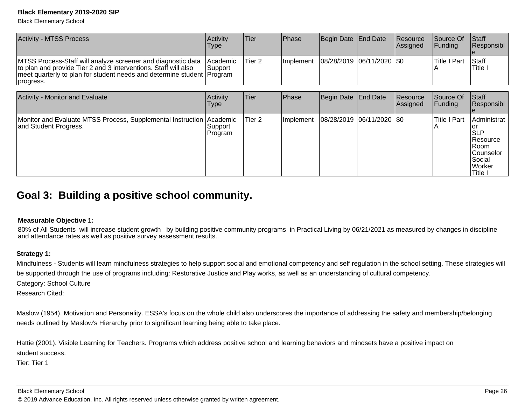Black Elementary School

| <b>Activity - MTSS Process</b>                                                                                                                                                                                         | Activity<br><b>Type</b>        | Tier   | <b>Phase</b>      | Begin Date End Date         | <b>Resource</b><br><b>Assianed</b> | <b>Source Of</b><br><b>IFundina</b> | <b>Staff</b><br><b>IResponsibl</b> |
|------------------------------------------------------------------------------------------------------------------------------------------------------------------------------------------------------------------------|--------------------------------|--------|-------------------|-----------------------------|------------------------------------|-------------------------------------|------------------------------------|
| MTSS Process-Staff will analyze screener and diagnostic data<br>to plan and provide Tier 2 and 3 interventions. Staff will also<br>meet quarterly to plan for student needs and determine student Program<br>progress. | <b>IAcademic</b><br>∣Support i | Tier 2 | <b>Ilmplement</b> | 08/28/2019  06/11/2020  \$0 |                                    | 'Title I Part                       | <b>Staff</b><br>'Title             |

| Activity - Monitor and Evaluate                                                               | Activity<br>Type   | <b>Tier</b> | Phase     | Begin Date End Date         | Resource<br>Assigned | Source Of<br> Funding | <b>Staff</b><br>Responsibl                                                                    |
|-----------------------------------------------------------------------------------------------|--------------------|-------------|-----------|-----------------------------|----------------------|-----------------------|-----------------------------------------------------------------------------------------------|
| Monitor and Evaluate MTSS Process, Supplemental Instruction Academic<br>and Student Progress. | Support<br>Program | Tier 2      | Implement | 08/28/2019  06/11/2020  \$0 |                      | Title I Part<br>n.    | Administrat<br>∣SLP<br>Resource<br>IRoom.<br>lCounselor<br>Social<br><b>Worker</b><br>Title I |

## **Goal 3: Building a positive school community.**

#### **Measurable Objective 1:**

80% of All Students will increase student growth by building positive community programs in Practical Living by 06/21/2021 as measured by changes in discipline and attendance rates as well as positive survey assessment results..

#### **Strategy 1:**

Mindfulness - Students will learn mindfulness strategies to help support social and emotional competency and self regulation in the school setting. These strategies willbe supported through the use of programs including: Restorative Justice and Play works, as well as an understanding of cultural competency.

Category: School Culture

Research Cited:

Maslow (1954). Motivation and Personality. ESSA's focus on the whole child also underscores the importance of addressing the safety and membership/belongingneeds outlined by Maslow's Hierarchy prior to significant learning being able to take place.

Hattie (2001). Visible Learning for Teachers. Programs which address positive school and learning behaviors and mindsets have a positive impact onstudent success.

Tier: Tier 1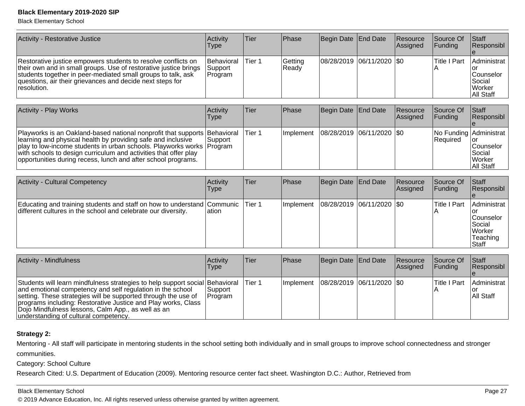Black Elementary School

| Activity - Restorative Justice                                                                                                                                                                                                                                                | Activity<br>Type                        | Tier   | <b>Phase</b>      | Begin Date End Date         | <b>Resource</b><br>Assigned  | <b>Source Of</b><br> Funding | <b>Staff</b><br>Responsibl                                            |
|-------------------------------------------------------------------------------------------------------------------------------------------------------------------------------------------------------------------------------------------------------------------------------|-----------------------------------------|--------|-------------------|-----------------------------|------------------------------|------------------------------|-----------------------------------------------------------------------|
| Restorative justice empowers students to resolve conflicts on<br>their own and in small groups. Use of restorative justice brings<br>students together in peer-mediated small groups to talk, ask<br>questions, air their grievances and decide next steps for<br>resolution. | <b>Behavioral</b><br>Support<br>Program | Tier 1 | Getting<br> Ready | 08/28/2019  06/11/2020  \$0 |                              | <b>Title I Part</b>          | Administrat<br>lor<br>lCounselor<br>l Social<br>l Worker<br>All Staff |
|                                                                                                                                                                                                                                                                               |                                         |        |                   |                             |                              |                              |                                                                       |
| <b>Activity - Play Works</b>                                                                                                                                                                                                                                                  | Activity<br><b>Type</b>                 | Tier   | <b>Phase</b>      | Begin Date End Date         | <b>Resource</b><br> Assigned | <b>Source Of</b><br>IFundina | <b>Staff</b><br>Responsibl                                            |

|                                                                                                                                                                                                                                                                                                                                                            | $\cdot$ , $\sim$ |         |                                           |  | .                                          |                                                      |
|------------------------------------------------------------------------------------------------------------------------------------------------------------------------------------------------------------------------------------------------------------------------------------------------------------------------------------------------------------|------------------|---------|-------------------------------------------|--|--------------------------------------------|------------------------------------------------------|
| Playworks is an Oakland-based national nonprofit that supports Behavioral<br>learning and physical health by providing safe and inclusive<br> play to low-income students in urban schools. Playworks works   Program<br>with schools to design curriculum and activities that offer play<br>opportunities during recess, lunch and after school programs. | ∣Support i       | 'Tier 1 | Implement   08/28/2019   06/11/2020   \$0 |  | No Funding Administrat<br><b>IRequired</b> | Counselor<br>l Social<br><b>Worker</b><br>IAII Staff |

| <b>Activity - Cultural Competency</b>                                                                                                           | Activity<br>Type | Tier | Phase            | Begin Date   End Date         | Resource<br>Assigned | Source Of<br><b>IFunding</b> | <b>Staff</b><br>Responsibl                                                    |
|-------------------------------------------------------------------------------------------------------------------------------------------------|------------------|------|------------------|-------------------------------|----------------------|------------------------------|-------------------------------------------------------------------------------|
| Educating and training students and staff on how to understand Communic Tier 1<br>different cultures in the school and celebrate our diversity. | lation           |      | <b>Implement</b> | $ 08/28/2019 06/11/2020 $ \$0 |                      | <b>ITitle I Part</b>         | Administrat<br>lCounselor<br>l Social<br>l Worker<br>Teaching<br><b>Staff</b> |

| Activity - Mindfulness                                                                                                                                                                                                                                                                                                                                                       | Activitv<br><b>Type</b> | Tier    | <b>IPhase</b>                             | Begin Date   End Date | Resource<br><b>Assigned</b> | <b>Source Of</b><br>$\vert$ Funding | <b>Staff</b><br>Responsibl |
|------------------------------------------------------------------------------------------------------------------------------------------------------------------------------------------------------------------------------------------------------------------------------------------------------------------------------------------------------------------------------|-------------------------|---------|-------------------------------------------|-----------------------|-----------------------------|-------------------------------------|----------------------------|
| Students will learn mindfulness strategies to help support social Behavioral<br>and emotional competency and self regulation in the school<br>setting. These strategies will be supported through the use of<br>programs including: Restorative Justice and Play works, Class<br>Dojo Mindfulness lessons, Calm App., as well as an<br>understanding of cultural competency. | Support <br> Program    | lTier 1 | Implement   08/28/2019   06/11/2020   \$0 |                       |                             | lTitle I Part                       | Administrat<br>All Staff   |

### **Strategy 2:**

Mentoring - All staff will participate in mentoring students in the school setting both individually and in small groups to improve school connectedness and strongercommunities.

Category: School Culture

Research Cited: U.S. Department of Education (2009). Mentoring resource center fact sheet. Washington D.C.: Author, Retrieved from

#### Black Elementary School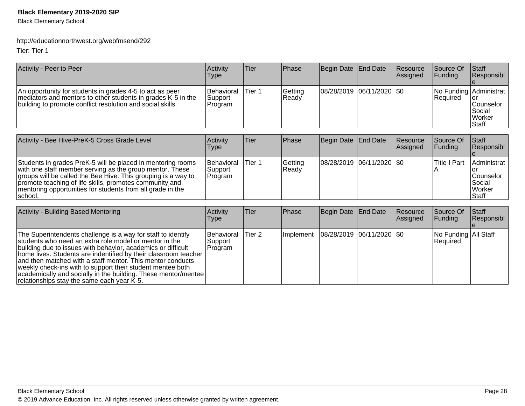Black Elementary School

### http://educationnorthwest.org/webfmsend/292

Tier: Tier 1

| Activity - Peer to Peer                                                                                                                                                                | Activity<br><b>Type</b>           | Tier   | <b>IPhase</b>    | Begin Date End Date           | <b>Resource</b><br>Assigned | <b>Source Of</b><br>IFundina | <b>Staff</b><br>Responsibl                                                              |
|----------------------------------------------------------------------------------------------------------------------------------------------------------------------------------------|-----------------------------------|--------|------------------|-------------------------------|-----------------------------|------------------------------|-----------------------------------------------------------------------------------------|
| An opportunity for students in grades 4-5 to act as peer<br>mediators and mentors to other students in grades K-5 in the<br>building to promote conflict resolution and social skills. | Behavioral<br> Support<br>Program | Tier 1 | Getting<br>Ready | $ 08/28/2019 06/11/2020 $ \$0 |                             | Required                     | No Funding Administrat<br>Tor<br>lCounselor<br><b>Social</b><br><b>Worker</b><br> Staff |

| Activity - Bee Hive-PreK-5 Cross Grade Level                                                                                                                                                                                                                                                                                  | <b>Activity</b><br><b>Type</b>    | Tier   | Phase            | Begin Date End Date           | <b>Resource</b><br>Assigned | <b>Source Of</b><br>IFundina | <b>Staff</b><br><b>Responsibl</b>                                                   |
|-------------------------------------------------------------------------------------------------------------------------------------------------------------------------------------------------------------------------------------------------------------------------------------------------------------------------------|-----------------------------------|--------|------------------|-------------------------------|-----------------------------|------------------------------|-------------------------------------------------------------------------------------|
| Students in grades PreK-5 will be placed in mentoring rooms<br>with one staff member serving as the group mentor. These<br>groups will be called the Bee Hive. This grouping is a way to<br>promote teaching of life skills, promotes community and<br>mentoring opportunities for students from all grade in the<br>Ischool. | Behavioral<br>Support<br> Program | Tier 1 | Getting<br>Ready | $ 08/28/2019 06/11/2020 $ \$0 |                             | lTitle I Part                | <b>Administrat</b><br><b>ICounselor</b><br><b>Social</b><br><b>Worker</b><br>lStaff |

| <b>Activity - Building Based Mentoring</b>                                                                                                                                                                                                                                                                                                                                                                                                                                                            | Activity<br><b>Type</b>             | Tier   | Phase       | Begin Date End Date |                               | <b>Resource</b><br>Assigned | Source Of<br><b>Funding</b>      | <b>Staff</b><br>Responsibl |
|-------------------------------------------------------------------------------------------------------------------------------------------------------------------------------------------------------------------------------------------------------------------------------------------------------------------------------------------------------------------------------------------------------------------------------------------------------------------------------------------------------|-------------------------------------|--------|-------------|---------------------|-------------------------------|-----------------------------|----------------------------------|----------------------------|
| The Superintendents challenge is a way for staff to identify<br>students who need an extra role model or mentor in the<br>building due to issues with behavior, academics or difficult<br>home lives. Students are indentified by their classroom teacher<br>and then matched with a staff mentor. This mentor conducts<br>weekly check-ins with to support their student mentee both<br>academically and socially in the building. These mentor/mentee<br>relationships stay the same each year K-5. | Behavioral<br> Support_<br> Program | Tier 2 | l Implement |                     | $ 08/28/2019 06/11/2020 $ \$0 |                             | No Funding All Staff<br>Required |                            |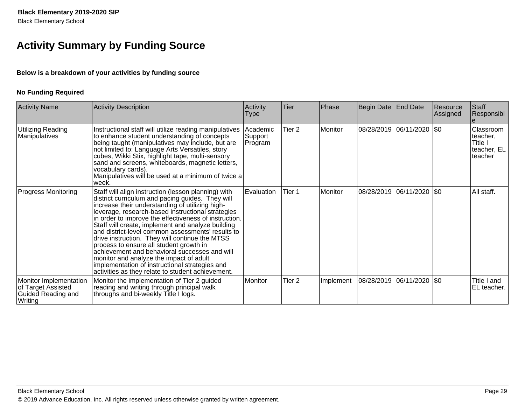## **Activity Summary by Funding Source**

### **Below is a breakdown of your activities by funding source**

### **No Funding Required**

| <b>Activity Name</b>                                                          | <b>Activity Description</b>                                                                                                                                                                                                                                                                                                                                                                                                                                                                                                                                                                                                                                                        | Activity<br>Type               | Tier              | Phase     | Begin Date   End Date |                            | Resource<br>Assigned | Staff<br>Responsibl                                        |
|-------------------------------------------------------------------------------|------------------------------------------------------------------------------------------------------------------------------------------------------------------------------------------------------------------------------------------------------------------------------------------------------------------------------------------------------------------------------------------------------------------------------------------------------------------------------------------------------------------------------------------------------------------------------------------------------------------------------------------------------------------------------------|--------------------------------|-------------------|-----------|-----------------------|----------------------------|----------------------|------------------------------------------------------------|
| Utilizing Reading<br>Manipulatives                                            | Instructional staff will utilize reading manipulatives<br>to enhance student understanding of concepts<br>being taught (manipulatives may include, but are<br>not limited to: Language Arts Versatiles, story<br>cubes, Wikki Stix, highlight tape, multi-sensory<br>sand and screens, whiteboards, magnetic letters,<br>vocabulary cards).<br>Manipulatives will be used at a minimum of twice a<br>week.                                                                                                                                                                                                                                                                         | Academic<br>Support<br>Program | Tier <sub>2</sub> | Monitor   |                       | 08/28/2019 06/11/2020  \$0 |                      | Classroom<br>teacher,<br>Title I<br>teacher, EL<br>teacher |
| <b>Progress Monitoring</b>                                                    | Staff will align instruction (lesson planning) with<br>district curriculum and pacing guides. They will<br>increase their understanding of utilizing high-<br>leverage, research-based instructional strategies<br>in order to improve the effectiveness of instruction.<br>Staff will create, implement and analyze building<br>and district-level common assessments' results to<br>drive instruction. They will continue the MTSS<br>process to ensure all student growth in<br>achievement and behavioral successes and will<br>monitor and analyze the impact of adult<br>implementation of instructional strategies and<br>activities as they relate to student achievement. | Evaluation                     | Tier 1            | Monitor   |                       | 08/28/2019 06/11/2020  \$0 |                      | All staff.                                                 |
| Monitor Implementation<br>of Target Assisted<br>Guided Reading and<br>Writing | Monitor the implementation of Tier 2 guided<br>reading and writing through principal walk<br>throughs and bi-weekly Title I logs.                                                                                                                                                                                                                                                                                                                                                                                                                                                                                                                                                  | Monitor                        | Tier <sub>2</sub> | Implement | 08/28/2019            | 06/11/2020 \$0             |                      | Title I and<br>EL teacher.                                 |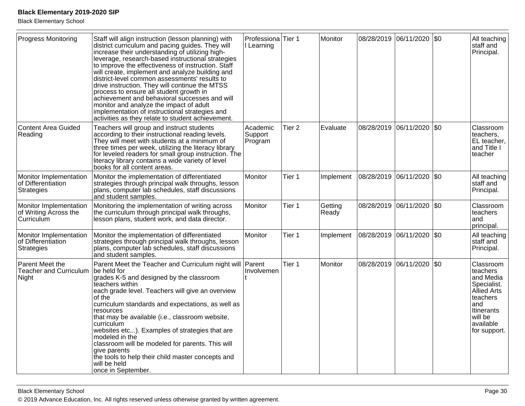Black Elementary School

| <b>Progress Monitoring</b>                                    | Staff will align instruction (lesson planning) with<br>district curriculum and pacing guides. They will<br>increase their understanding of utilizing high-<br>leverage, research-based instructional strategies<br>to improve the effectiveness of instruction. Staff<br>will create, implement and analyze building and<br>district-level common assessments' results to<br>drive instruction. They will continue the MTSS<br>process to ensure all student growth in<br>achievement and behavioral successes and will<br>monitor and analyze the impact of adult<br>implementation of instructional strategies and<br>activities as they relate to student achievement. | Professiona <sup>Tier</sup> 1<br>I Learning |                   | Monitor          |                       | 08/28/2019 06/11/2020     | $\sqrt{50}$ | All teaching<br>staff and<br>Principal.                                                                                                           |
|---------------------------------------------------------------|---------------------------------------------------------------------------------------------------------------------------------------------------------------------------------------------------------------------------------------------------------------------------------------------------------------------------------------------------------------------------------------------------------------------------------------------------------------------------------------------------------------------------------------------------------------------------------------------------------------------------------------------------------------------------|---------------------------------------------|-------------------|------------------|-----------------------|---------------------------|-------------|---------------------------------------------------------------------------------------------------------------------------------------------------|
| Content Area Guided<br>Reading                                | Teachers will group and instruct students<br>according to their instructional reading levels.<br>They will meet with students at a minimum of<br>three times per week, utilizing the literacy library<br>for leveled readers for small group instruction. The<br>literacy library contains a wide variety of level<br>books for all content areas.                                                                                                                                                                                                                                                                                                                        | Academic<br>Support<br>Program              | Tier <sub>2</sub> | Evaluate         | 08/28/2019            | 06/11/2020                | \$0         | Classroom<br>teachers,<br>EL teacher,<br>and Title I<br>teacher                                                                                   |
| Monitor Implementation<br>of Differentiation<br>Strategies    | Monitor the implementation of differentiated<br>strategies through principal walk throughs, lesson<br>plans, computer lab schedules, staff discussions<br>and student samples.                                                                                                                                                                                                                                                                                                                                                                                                                                                                                            | Monitor                                     | Tier 1            | Implement        | 08/28/2019 06/11/2020 |                           | l\$0        | All teaching<br>staff and<br>Principal.                                                                                                           |
| Monitor Implementation<br>of Writing Across the<br>Curriculum | Monitoring the implementation of writing across<br>the curriculum through principal walk throughs,<br>lesson plans, student work, and data director.                                                                                                                                                                                                                                                                                                                                                                                                                                                                                                                      | Monitor                                     | Tier 1            | Getting<br>Ready | 08/28/2019            | 06/11/2020                | \$0         | Classroom<br>lteachers<br>land<br>principal.                                                                                                      |
| Monitor Implementation<br>of Differentiation<br>Strategies    | Monitor the implementation of differentiated<br>strategies through principal walk throughs, lesson<br>plans, computer lab schedules, staff discussions<br>and student samples.                                                                                                                                                                                                                                                                                                                                                                                                                                                                                            | Monitor                                     | Tier 1            | Implement        | 08/28/2019            | 06/11/2020                | \$0         | All teaching<br>staff and<br>Principal.                                                                                                           |
| Parent Meet the<br><b>Teacher and Curriculum</b><br>Night     | Parent Meet the Teacher and Curriculum night will Parent<br>be held for<br>grades K-5 and designed by the classroom<br>teachers within<br>each grade level. Teachers will give an overview<br>of the<br>curriculum standards and expectations, as well as<br>resources<br>that may be available (i.e., classroom website,<br>curriculum<br>websites etc). Examples of strategies that are<br>modeled in the<br>classroom will be modeled for parents. This will<br>give parents<br>the tools to help their child master concepts and<br>will be held<br>once in September.                                                                                                | Involvemen                                  | Tier 1            | Monitor          |                       | 08/28/2019 06/11/2020 \$0 |             | Classroom<br>teachers<br>land Media<br>Specialist.<br>Allied Arts<br>teachers<br>and<br><b>Itinerants</b><br>will be<br>available<br>for support. |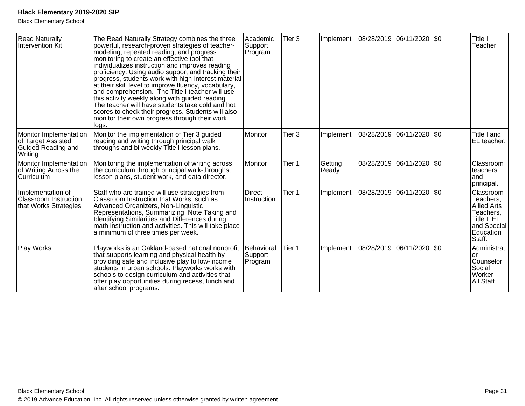| <b>Read Naturally</b><br>Intervention Kit                                     | The Read Naturally Strategy combines the three<br>powerful, research-proven strategies of teacher-<br>modeling, repeated reading, and progress<br>monitoring to create an effective tool that<br>individualizes instruction and improves reading<br>proficiency. Using audio support and tracking their<br>progress, students work with high-interest material<br>at their skill level to improve fluency, vocabulary,<br>and comprehension. The Title I teacher will use<br>this activity weekly along with guided reading.<br>The teacher will have students take cold and hot<br>scores to check their progress. Students will also<br>monitor their own progress through their work<br>logs. | Academic<br>Support<br>Program   | Tier <sub>3</sub> | Implement        |            | 08/28/2019 06/11/2020 \$0   | Title I<br>Teacher                                                                                             |
|-------------------------------------------------------------------------------|--------------------------------------------------------------------------------------------------------------------------------------------------------------------------------------------------------------------------------------------------------------------------------------------------------------------------------------------------------------------------------------------------------------------------------------------------------------------------------------------------------------------------------------------------------------------------------------------------------------------------------------------------------------------------------------------------|----------------------------------|-------------------|------------------|------------|-----------------------------|----------------------------------------------------------------------------------------------------------------|
| Monitor Implementation<br>of Target Assisted<br>Guided Reading and<br>Writing | Monitor the implementation of Tier 3 guided<br>reading and writing through principal walk<br>throughs and bi-weekly Title I lesson plans.                                                                                                                                                                                                                                                                                                                                                                                                                                                                                                                                                        | Monitor                          | Tier <sub>3</sub> | Implement        |            | 08/28/2019 06/11/2020 \$0   | Title I and<br>EL teacher.                                                                                     |
| Monitor Implementation<br>of Writing Across the<br><b>Curriculum</b>          | Monitoring the implementation of writing across<br>the curriculum through principal walk-throughs,<br>lesson plans, student work, and data director.                                                                                                                                                                                                                                                                                                                                                                                                                                                                                                                                             | Monitor                          | Tier 1            | Getting<br>Ready |            | 08/28/2019  06/11/2020  \$0 | Classroom<br>teachers<br>and<br>principal.                                                                     |
| Implementation of<br><b>Classroom Instruction</b><br>that Works Strategies    | Staff who are trained will use strategies from<br>Classroom Instruction that Works, such as<br>Advanced Organizers, Non-Linguistic<br>Representations, Summarizing, Note Taking and<br>Identifying Similarities and Differences during<br>math instruction and activities. This will take place<br>a minimum of three times per week.                                                                                                                                                                                                                                                                                                                                                            | <b>Direct</b><br>Instruction     | Tier 1            | Implement        | 08/28/2019 | 06/11/2020 \$0              | Classroom<br>Teachers,<br><b>Allied Arts</b><br>Teachers,<br>Title I, EL<br>and Special<br>Education<br>Staff. |
| Play Works                                                                    | Playworks is an Oakland-based national nonprofit<br>that supports learning and physical health by<br>providing safe and inclusive play to low-income<br>students in urban schools. Playworks works with<br>schools to design curriculum and activities that<br>offer play opportunities during recess, lunch and<br>after school programs.                                                                                                                                                                                                                                                                                                                                                       | Behavioral<br>Support<br>Program | Tier 1            | Implement        | 08/28/2019 | 06/11/2020 \$0              | Administrat<br>or<br>Counselor<br>Social<br>Worker<br>All Staff                                                |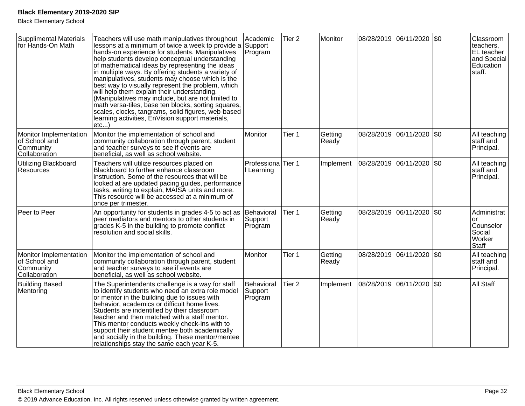| Supplimental Materials<br>for Hands-On Math                           | Teachers will use math manipulatives throughout<br>lessons at a minimum of twice a week to provide a<br>hands-on experience for students. Manipulatives<br>help students develop conceptual understanding<br>of mathematical ideas by representing the ideas<br>in multiple ways. By offering students a variety of<br>manipulatives, students may choose which is the<br>best way to visually represent the problem, which<br>will help them explain their understanding.<br>(Manipulatives may include, but are not limited to<br>math versa-tiles, base ten blocks, sorting squares,<br>scales, clocks, tangrams, solid figures, web-based<br>learning activities, EnVision support materials,<br>etc | Academic<br>Support<br>Program            | Tier <sub>2</sub> | Monitor          |                           | 08/28/2019 06/11/2020 \$0 |     | Classroom<br>teachers,<br>EL teacher<br>and Special<br>Education<br>staff. |
|-----------------------------------------------------------------------|----------------------------------------------------------------------------------------------------------------------------------------------------------------------------------------------------------------------------------------------------------------------------------------------------------------------------------------------------------------------------------------------------------------------------------------------------------------------------------------------------------------------------------------------------------------------------------------------------------------------------------------------------------------------------------------------------------|-------------------------------------------|-------------------|------------------|---------------------------|---------------------------|-----|----------------------------------------------------------------------------|
| Monitor Implementation<br>of School and<br>Community<br>Collaboration | Monitor the implementation of school and<br>community collaboration through parent, student<br>and teacher surveys to see if events are<br>beneficial, as well as school website.                                                                                                                                                                                                                                                                                                                                                                                                                                                                                                                        | Monitor                                   | Tier 1            | Getting<br>Ready | 08/28/2019                | 06/11/2020                | \$0 | All teaching<br>staff and<br>Principal.                                    |
| Utilizing Blackboard<br>Resources                                     | Teachers will utilize resources placed on<br>Blackboard to further enhance classroom<br>instruction. Some of the resources that will be<br>looked at are updated pacing guides, performance<br>tasks, writing to explain, MAISA units and more.<br>This resource will be accessed at a minimum of<br>once per trimester.                                                                                                                                                                                                                                                                                                                                                                                 | Professiona <sup>Tier</sup> 1<br>Learning |                   | Implement        | 08/28/2019 06/11/2020     |                           | \$0 | All teaching<br>staff and<br>Principal.                                    |
| Peer to Peer                                                          | An opportunity for students in grades 4-5 to act as<br>peer mediators and mentors to other students in<br>grades K-5 in the building to promote conflict<br>resolution and social skills.                                                                                                                                                                                                                                                                                                                                                                                                                                                                                                                | Behavioral<br>Support<br>Program          | Tier 1            | Getting<br>Ready |                           | 08/28/2019 06/11/2020 \$0 |     | Administrat<br>or<br>Counselor<br>Social<br>Worker<br><b>Staff</b>         |
| Monitor Implementation<br>of School and<br>Community<br>Collaboration | Monitor the implementation of school and<br>community collaboration through parent, student<br>and teacher surveys to see if events are<br>beneficial, as well as school website.                                                                                                                                                                                                                                                                                                                                                                                                                                                                                                                        | Monitor                                   | Tier 1            | Getting<br>Ready |                           | 08/28/2019 06/11/2020 \$0 |     | All teaching<br>staff and<br>Principal.                                    |
| <b>Building Based</b><br>Mentoring                                    | The Superintendents challenge is a way for staff<br>to identify students who need an extra role model<br>or mentor in the building due to issues with<br>behavior, academics or difficult home lives.<br>Students are indentified by their classroom<br>teacher and then matched with a staff mentor.<br>This mentor conducts weekly check-ins with to<br>support their student mentee both academically<br>and socially in the building. These mentor/mentee<br>relationships stay the same each year K-5.                                                                                                                                                                                              | Behavioral<br>Support<br>Program          | Tier <sub>2</sub> | Implement        | 08/28/2019 06/11/2020 \$0 |                           |     | All Staff                                                                  |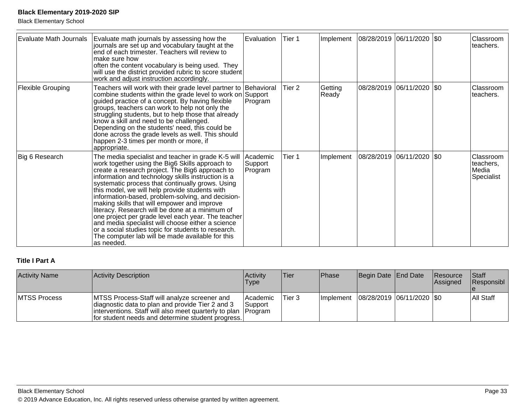Black Elementary School

| Evaluate Math Journals | Evaluate math journals by assessing how the<br>journals are set up and vocabulary taught at the<br>end of each trimester. Teachers will review to<br>make sure how<br>often the content vocabulary is being used. They<br>will use the district provided rubric to score student<br>work and adjust instruction accordingly.                                                                                                                                                                                                                                                                                                                                                                                     | Evaluation                     | Tier 1            | Implement        | 08/28/2019 06/11/2020 \$0   |  | Classroom<br>teachers.                        |
|------------------------|------------------------------------------------------------------------------------------------------------------------------------------------------------------------------------------------------------------------------------------------------------------------------------------------------------------------------------------------------------------------------------------------------------------------------------------------------------------------------------------------------------------------------------------------------------------------------------------------------------------------------------------------------------------------------------------------------------------|--------------------------------|-------------------|------------------|-----------------------------|--|-----------------------------------------------|
| Flexible Grouping      | Teachers will work with their grade level partner to  Behavioral<br>combine students within the grade level to work on Support<br>guided practice of a concept. By having flexible<br>groups, teachers can work to help not only the<br>struggling students, but to help those that already<br>know a skill and need to be challenged.<br>Depending on the students' need, this could be<br>done across the grade levels as well. This should<br>happen 2-3 times per month or more, if<br>appropriate.                                                                                                                                                                                                          | Program                        | Tier <sub>2</sub> | Getting<br>Ready | 08/28/2019  06/11/2020  \$0 |  | Classroom<br>teachers.                        |
| Big 6 Research         | The media specialist and teacher in grade K-5 will<br>work together using the Big6 Skills approach to<br> create a research project. The Big6 approach to<br>information and technology skills instruction is a<br>systematic process that continually grows. Using<br>this model, we will help provide students with<br>information-based, problem-solving, and decision-<br>making skills that will empower and improve<br>literacy. Research will be done at a minimum of<br>one project per grade level each year. The teacher<br>and media specialist will choose either a science<br>or a social studies topic for students to research.<br>The computer lab will be made available for this<br>as needed. | Academic<br>Support<br>Program | Tier 1            | Implement        | 08/28/2019 06/11/2020 \$0   |  | Classroom<br>teachers,<br>Media<br>Specialist |

### **Title I Part A**

| <b>Activity Name</b> | Activity Description                                                                                                                                                                                                      | <b>Activity</b><br><b>Type</b> | 'Tier  | Phase     | Begin Date End Date         | Resource<br><b>Assigned</b> | <b>Staff</b><br>Responsibl |
|----------------------|---------------------------------------------------------------------------------------------------------------------------------------------------------------------------------------------------------------------------|--------------------------------|--------|-----------|-----------------------------|-----------------------------|----------------------------|
| <b>MTSS Process</b>  | MTSS Process-Staff will analyze screener and<br>diagnostic data to plan and provide Tier 2 and 3<br>linterventions. Staff will also meet quarterly to plan   Program<br>for student needs and determine student progress. | lAcademic<br>Support           | Tier 3 | Implement | 08/28/2019  06/11/2020  \$0 |                             | All Staff                  |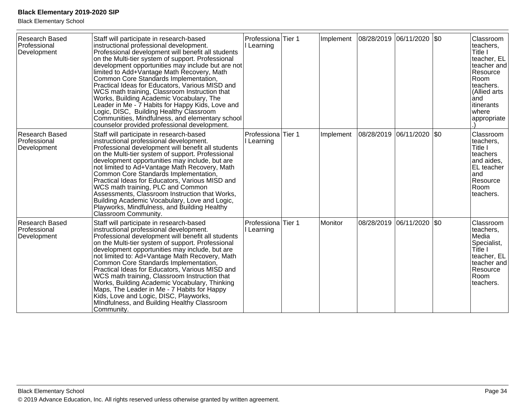| Research Based<br>Professional<br>Development        | Staff will participate in research-based<br>instructional professional development.<br>Professional development will benefit all students<br>on the Multi-tier system of support. Professional<br>development opportunities may include but are not<br>limited to Add+Vantage Math Recovery, Math<br>Common Core Standards Implementation,<br>Practical Ideas for Educators, Various MISD and<br>WCS math training, Classroom Instruction that<br>Works, Building Academic Vocabulary, The<br>Leader in Me - 7 Habits for Happy Kids, Love and<br>Logic, DISC, Building Healthy Classroom<br>Communities, Mindfulness, and elementary school<br>counselor provided professional development. | Professiona <sup>Tier</sup> 1<br>I Learning | Implement | 08/28/2019 06/11/2020 \$0 | Classroom<br>teachers,<br>Title I<br>teacher, EL<br>teacher and<br>Resource<br>Room<br>teachers.<br>(Allied arts<br>and<br>litinerants<br>where<br>appropriate |
|------------------------------------------------------|----------------------------------------------------------------------------------------------------------------------------------------------------------------------------------------------------------------------------------------------------------------------------------------------------------------------------------------------------------------------------------------------------------------------------------------------------------------------------------------------------------------------------------------------------------------------------------------------------------------------------------------------------------------------------------------------|---------------------------------------------|-----------|---------------------------|----------------------------------------------------------------------------------------------------------------------------------------------------------------|
| <b>Research Based</b><br>Professional<br>Development | Staff will participate in research-based<br>instructional professional development.<br>Professional development will benefit all students<br>on the Multi-tier system of support. Professional<br>development opportunities may include, but are<br>not limited to Ad+Vantage Math Recovery, Math<br>Common Core Standards Implementation,<br>Practical Ideas for Educators, Various MISD and<br>WCS math training, PLC and Common<br>Assessments, Classroom Instruction that Works,<br>Building Academic Vocabulary, Love and Logic,<br>Playworks, Mindfulness, and Building Healthy<br>Classroom Community.                                                                                | Professiona Tier 1<br>Learning              | Implement | 08/28/2019 06/11/2020 \$0 | Classroom<br>teachers,<br>Title I<br>teachers<br>and aides,<br>EL teacher<br>land<br>Resource<br>Room<br>teachers.                                             |
| Research Based<br>Professional<br>Development        | Staff will participate in research-based<br>instructional professional development.<br>Professional development will benefit all students<br>on the Multi-tier system of support. Professional<br>development opportunities may include, but are<br>not limited to: Ad+Vantage Math Recovery, Math<br>Common Core Standards Implementation,<br>Practical Ideas for Educators, Various MISD and<br>WCS math training, Classroom Instruction that<br>Works, Building Academic Vocabulary, Thinking<br>Maps, The Leader in Me - 7 Habits for Happy<br>Kids, Love and Logic, DISC, Playworks,<br>MIndfulness, and Building Healthy Classroom<br>Community.                                       | Professiona Tier 1<br>I Learning            | Monitor   | 08/28/2019 06/11/2020 \$0 | Classroom<br>teachers,<br>Media<br>Specialist,<br>Title I<br>teacher, EL<br>teacher and<br>Resource<br>Room<br>teachers.                                       |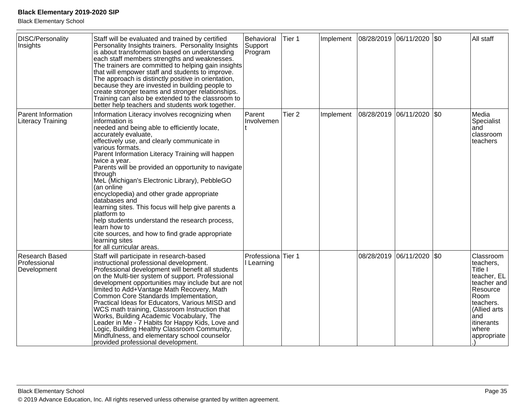| DISC/Personality<br>Insights                   | Staff will be evaluated and trained by certified<br>Personality Insights trainers. Personality Insights<br>is about transformation based on understanding<br>each staff members strengths and weaknesses.<br>The trainers are committed to helping gain insights<br>that will empower staff and students to improve.<br>The approach is distinctly positive in orientation,<br>because they are invested in building people to<br>create stronger teams and stronger relationships.<br>Training can also be extended to the classroom to<br>better help teachers and students work together.                                                                                                                              | Behavioral<br>Support<br>Program | Tier 1            | Implement | 08/28/2019 06/11/2020 |                       | \$0     | All staff                                                                                                                                                      |
|------------------------------------------------|---------------------------------------------------------------------------------------------------------------------------------------------------------------------------------------------------------------------------------------------------------------------------------------------------------------------------------------------------------------------------------------------------------------------------------------------------------------------------------------------------------------------------------------------------------------------------------------------------------------------------------------------------------------------------------------------------------------------------|----------------------------------|-------------------|-----------|-----------------------|-----------------------|---------|----------------------------------------------------------------------------------------------------------------------------------------------------------------|
| Parent Information<br><b>Literacy Training</b> | Information Literacy involves recognizing when<br>information is<br>needed and being able to efficiently locate,<br>accurately evaluate,<br>effectively use, and clearly communicate in<br>various formats.<br>Parent Information Literacy Training will happen<br>twice a year.<br>Parents will be provided an opportunity to navigate<br>through<br>MeL (Michigan's Electronic Library), PebbleGO<br>(an online<br>encyclopedia) and other grade appropriate<br>databases and<br>learning sites. This focus will help give parents a<br>platform to<br>help students understand the research process,<br>learn how to<br>cite sources, and how to find grade appropriate<br>learning sites<br>for all curricular areas. | Parent<br>Involvemen             | Tier <sub>2</sub> | Implement | 08/28/2019 06/11/2020 |                       | $ $ \$0 | Media<br>Specialist<br>land<br>classroom<br>teachers                                                                                                           |
| Research Based<br>Professional<br>Development  | Staff will participate in research-based<br>instructional professional development.<br>Professional development will benefit all students<br>on the Multi-tier system of support. Professional<br>development opportunities may include but are not<br>limited to Add+Vantage Math Recovery, Math<br>Common Core Standards Implementation,<br>Practical Ideas for Educators, Various MISD and<br>WCS math training, Classroom Instruction that<br>Works, Building Academic Vocabulary, The<br>Leader in Me - 7 Habits for Happy Kids, Love and<br>Logic, Building Healthy Classroom Community,<br>Mindfulness, and elementary school counselor<br>provided professional development.                                      | Professiona Tier 1<br>I Learning |                   |           |                       | 08/28/2019 06/11/2020 | \$0     | Classroom<br>teachers,<br>Title I<br>teacher, EL<br>teacher and<br>Resource<br>Room<br>teachers.<br>(Allied arts<br>and<br>litinerants<br>where<br>appropriate |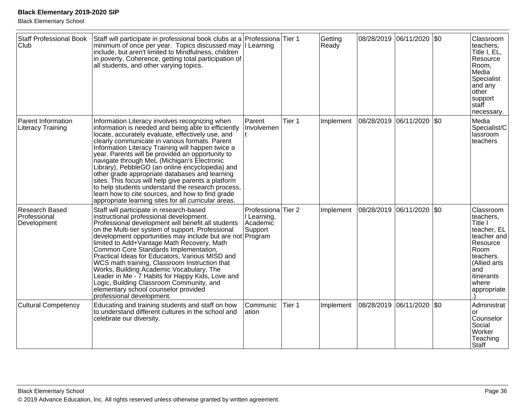| <b>Staff Professional Book</b><br>Club         | Staff will participate in professional book clubs at a Professiona Tier 1<br>minimum of once per year. Topics discussed may   Learning<br>include, but aren't limited to Mindfulness, children<br>in poverty, Coherence, getting total participation of<br>all students, and other varying topics.                                                                                                                                                                                                                                                                                                                                                                                                |                                                   |        | Getting<br>Ready |                       | 08/28/2019 06/11/2020 \$0 |           | Classroom<br>teachers.<br>Title I, EL,<br>Resource<br>Room,<br>Media<br>Specialist<br>and any<br>other<br>support<br>staff<br>necessary.                      |
|------------------------------------------------|---------------------------------------------------------------------------------------------------------------------------------------------------------------------------------------------------------------------------------------------------------------------------------------------------------------------------------------------------------------------------------------------------------------------------------------------------------------------------------------------------------------------------------------------------------------------------------------------------------------------------------------------------------------------------------------------------|---------------------------------------------------|--------|------------------|-----------------------|---------------------------|-----------|---------------------------------------------------------------------------------------------------------------------------------------------------------------|
| <b>Parent Information</b><br>Literacy Training | Information Literacy involves recognizing when<br>information is needed and being able to efficiently<br>locate, accurately evaluate, effectively use, and<br>clearly communicate in various formats. Parent<br>Information Literacy Training will happen twice a<br>year. Parents will be provided an opportunity to<br>navigate through MeL (Michigan's Electronic<br>Library), PebbleGO (an online encyclopedia) and<br>other grade appropriate databases and learning<br>sites. This focus will help give parents a platform<br>to help students understand the research process,<br>learn how to cite sources, and how to find grade<br>appropriate learning sites for all curricular areas. | Parent<br>Involvemen                              | Tier 1 | Implement        | 08/28/2019 06/11/2020 |                           | I\$0      | Media<br>Specialist/C<br>lassroom<br>teachers                                                                                                                 |
| Research Based<br>Professional<br>Development  | Staff will participate in research-based<br>instructional professional development.<br>Professional development will benefit all students<br>on the Multi-tier system of support. Professional<br>development opportunities may include but are not Program<br>limited to Add+Vantage Math Recovery, Math<br>Common Core Standards Implementation,<br>Practical Ideas for Educators, Various MISD and<br>WCS math training, Classroom Instruction that<br>Works, Building Academic Vocabulary, The<br>Leader in Me - 7 Habits for Happy Kids, Love and<br>Logic, Building Classroom Community, and<br>elementary school counselor provided<br>professional development.                           | Professiona<br>I Learning,<br>Academic<br>Support | Tier 2 | Implement        | 08/28/2019            | 06/11/2020                | <b>SO</b> | Classroom<br>teachers,<br>Title I<br>teacher, EL<br>teacher and<br>Resource<br>Room<br>teachers.<br>(Allied arts<br>and<br>itinerants<br>where<br>appropriate |
| <b>Cultural Competency</b>                     | Educating and training students and staff on how<br>to understand different cultures in the school and<br>celebrate our diversity.                                                                                                                                                                                                                                                                                                                                                                                                                                                                                                                                                                | Communic<br>ation                                 | Tier 1 | Implement        | 08/28/2019 06/11/2020 |                           | \$0       | Administrat<br>or<br>Counselor<br>Social<br>Worker<br>Teaching<br>Staff                                                                                       |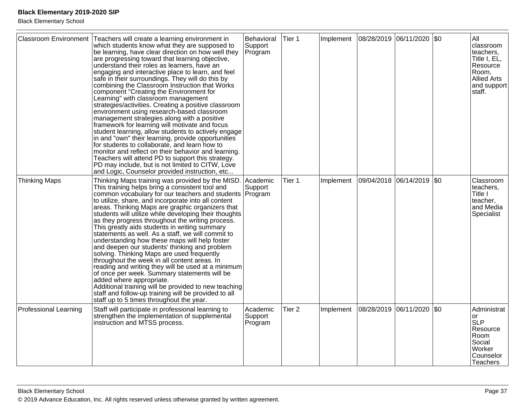| <b>Classroom Environment</b> | Teachers will create a learning environment in<br>which students know what they are supposed to<br>be learning, have clear direction on how well they<br>are progressing toward that learning objective,<br>understand their roles as learners, have an<br>engaging and interactive place to learn, and feel<br>safe in their surroundings. They will do this by<br>combining the Classroom Instruction that Works<br>component "Creating the Environment for<br>Learning" with classroom management<br>strategies/activities. Creating a positive classroom<br>environment using research-based classroom<br>management strategies along with a positive<br>framework for learning will motivate and focus<br>student learning, allow students to actively engage<br>in and "own" their learning, provide opportunities<br>for students to collaborate, and learn how to<br>monitor and reflect on their behavior and learning.<br>Teachers will attend PD to support this strategy.<br>PD may include, but is not limited to CITW, Love<br>and Logic, Counselor provided instruction, etc | Behavioral<br>Support<br>Program | Tier 1            | Implement |            | 08/28/2019 06/11/2020 \$0 | All<br>classroom<br>teachers,<br>Title I, EL,<br>Resource<br>Room,<br><b>Allied Arts</b><br>and support<br>staff. |
|------------------------------|---------------------------------------------------------------------------------------------------------------------------------------------------------------------------------------------------------------------------------------------------------------------------------------------------------------------------------------------------------------------------------------------------------------------------------------------------------------------------------------------------------------------------------------------------------------------------------------------------------------------------------------------------------------------------------------------------------------------------------------------------------------------------------------------------------------------------------------------------------------------------------------------------------------------------------------------------------------------------------------------------------------------------------------------------------------------------------------------|----------------------------------|-------------------|-----------|------------|---------------------------|-------------------------------------------------------------------------------------------------------------------|
| Thinking Maps                | Thinking Maps training was provided by the MISD.<br>This training helps bring a consistent tool and<br>common vocabulary for our teachers and students Program<br>to utilize, share, and incorporate into all content<br>areas. Thinking Maps are graphic organizers that<br>students will utilize while developing their thoughts<br>as they progress throughout the writing process.<br>This greatly aids students in writing summary<br>statements as well. As a staff, we will commit to<br>understanding how these maps will help foster<br>and deepen our students' thinking and problem<br>solving. Thinking Maps are used frequently<br>throughout the week in all content areas. In<br>reading and writing they will be used at a minimum<br>of once per week. Summary statements will be<br>added where appropriate.<br>Additional training will be provided to new teaching<br>staff and follow-up training will be provided to all<br>staff up to 5 times throughout the year.                                                                                                  | Academic<br>Support              | Tier 1            | Implement |            | 09/04/2018 06/14/2019 \$0 | Classroom<br>teachers,<br>Title I<br>teacher,<br>and Media<br>Specialist                                          |
| <b>Professional Learning</b> | Staff will participate in professional learning to<br>strengthen the implementation of supplemental<br>instruction and MTSS process.                                                                                                                                                                                                                                                                                                                                                                                                                                                                                                                                                                                                                                                                                                                                                                                                                                                                                                                                                        | Academic<br>Support<br>Program   | Tier <sub>2</sub> | Implement | 08/28/2019 | 06/11/2020 \$0            | Administrat<br>or.<br><b>SLP</b><br>Resource<br>Room<br>Social<br>Worker<br>Counselor<br><b>Teachers</b>          |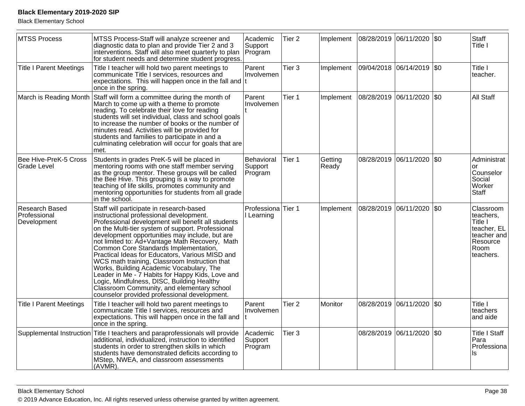| MTSS Process                                         | MTSS Process-Staff will analyze screener and<br>diagnostic data to plan and provide Tier 2 and 3<br>interventions. Staff will also meet quarterly to plan<br>for student needs and determine student progress.                                                                                                                                                                                                                                                                                                                                                                                                                                                                              | Academic<br>Support<br>Program              | Tier <sub>2</sub> | Implement        | 08/28/2019 06/11/2020 \$0   |            |             | Staff<br>Title I                                                                                 |
|------------------------------------------------------|---------------------------------------------------------------------------------------------------------------------------------------------------------------------------------------------------------------------------------------------------------------------------------------------------------------------------------------------------------------------------------------------------------------------------------------------------------------------------------------------------------------------------------------------------------------------------------------------------------------------------------------------------------------------------------------------|---------------------------------------------|-------------------|------------------|-----------------------------|------------|-------------|--------------------------------------------------------------------------------------------------|
| <b>Title I Parent Meetings</b>                       | Title I teacher will hold two parent meetings to<br>communicate Title I services, resources and<br>expectations. This will happen once in the fall and $ t $<br>once in the spring.                                                                                                                                                                                                                                                                                                                                                                                                                                                                                                         | Parent<br><b>Involvemen</b>                 | Tier 3            | Implement        | 09/04/2018  06/14/2019  \$0 |            |             | Title I<br>teacher.                                                                              |
| March is Reading Month                               | Staff will form a committee during the month of<br>March to come up with a theme to promote<br>reading. To celebrate their love for reading<br>students will set individual, class and school goals<br>to increase the number of books or the number of<br>minutes read. Activities will be provided for<br>students and families to participate in and a<br>culminating celebration will occur for goals that are<br>met.                                                                                                                                                                                                                                                                  | Parent<br>Involvemen                        | Tier 1            | Implement        | 08/28/2019 06/11/2020       |            | \$0         | All Staff                                                                                        |
| Bee Hive-PreK-5 Cross<br><b>Grade Level</b>          | Students in grades PreK-5 will be placed in<br>mentoring rooms with one staff member serving<br>as the group mentor. These groups will be called<br>the Bee Hive. This grouping is a way to promote<br>teaching of life skills, promotes community and<br>mentoring opportunities for students from all grade<br>in the school.                                                                                                                                                                                                                                                                                                                                                             | Behavioral<br>Support<br>Program            | Tier 1            | Getting<br>Ready | 08/28/2019                  | 06/11/2020 | <b>SO</b>   | Administrat<br>or<br>Counselor<br>Social<br>Worker<br>Staff                                      |
| <b>Research Based</b><br>Professional<br>Development | Staff will participate in research-based<br>instructional professional development.<br>Professional development will benefit all students<br>on the Multi-tier system of support. Professional<br>development opportunities may include, but are<br>not limited to: Ad+Vantage Math Recovery, Math<br>Common Core Standards Implementation,<br>Practical Ideas for Educators, Various MISD and<br>WCS math training, Classroom Instruction that<br>Works, Building Academic Vocabulary, The<br>Leader in Me - 7 Habits for Happy Kids, Love and<br>Logic, Mindfulness, DISC, Building Healthy<br>Classroom Community, and elementary school<br>counselor provided professional development. | Professiona <sup>Tier</sup> 1<br>I Learning |                   | Implement        | 08/28/2019  06/11/2020      |            | $\sqrt{50}$ | Classroom<br>teachers,<br>Title I<br>teacher, EL<br>teacher and<br>Resource<br>Room<br>teachers. |
| <b>Title I Parent Meetings</b>                       | Title I teacher will hold two parent meetings to<br>communicate Title I services, resources and<br>expectations. This will happen once in the fall and<br>once in the spring.                                                                                                                                                                                                                                                                                                                                                                                                                                                                                                               | Parent<br>Involvemen                        | Tier <sub>2</sub> | Monitor          | 08/28/2019                  | 06/11/2020 | <b>\$0</b>  | Title I<br>teachers<br>and aide                                                                  |
|                                                      | Supplemental Instruction Title I teachers and paraprofessionals will provide<br>additional, individualized, instruction to identified<br>students in order to strengthen skills in which<br>students have demonstrated deficits according to<br>MStep, NWEA, and classroom assessments<br>(AVMR).                                                                                                                                                                                                                                                                                                                                                                                           | Academic<br>Support<br>Program              | Tier <sub>3</sub> |                  | 08/28/2019 06/11/2020       |            | <b>\$0</b>  | <b>Title I Staff</b><br>Para<br>Professiona<br>ls.                                               |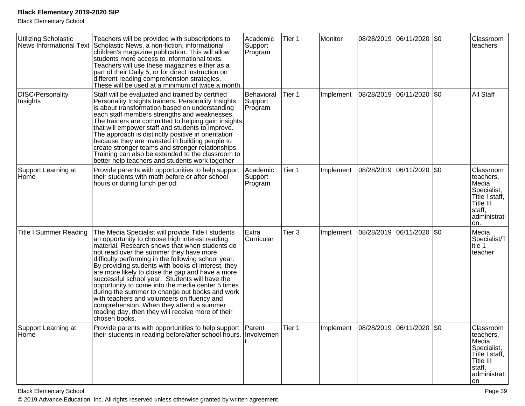Black Elementary School

| Utilizing Scholastic<br><b>News Informational Text</b> | Teachers will be provided with subscriptions to<br>Scholastic News, a non-fiction, informational<br>children's magazine publication. This will allow<br>students more access to informational texts.<br>Teachers will use these magazines either as a<br>part of their Daily 5, or for direct instruction on<br>different reading comprehension strategies.<br>These will be used at a minimum of twice a month.                                                                                                                                                                                                                                                                             | Academic<br>Support<br>Program   | Tier 1            | Monitor   |                       | 08/28/2019 06/11/2020 \$0 |           | Classroom<br>teachers                                                                                          |
|--------------------------------------------------------|----------------------------------------------------------------------------------------------------------------------------------------------------------------------------------------------------------------------------------------------------------------------------------------------------------------------------------------------------------------------------------------------------------------------------------------------------------------------------------------------------------------------------------------------------------------------------------------------------------------------------------------------------------------------------------------------|----------------------------------|-------------------|-----------|-----------------------|---------------------------|-----------|----------------------------------------------------------------------------------------------------------------|
| <b>DISC/Personality</b><br>Insights                    | Staff will be evaluated and trained by certified<br>Personality Insights trainers. Personality Insights<br>is about transformation based on understanding<br>each staff members strengths and weaknesses.<br>The trainers are committed to helping gain insights<br>that will empower staff and students to improve.<br>The approach is distinctly positive in orientation<br>because they are invested in building people to<br>create stronger teams and stronger relationships.<br>Training can also be extended to the classroom to<br>better help teachers and students work together                                                                                                   | Behavioral<br>Support<br>Program | Tier 1            | Implement | 08/28/2019 06/11/2020 |                           | <b>SO</b> | All Staff                                                                                                      |
| Support Learning at<br>Home                            | Provide parents with opportunities to help support<br>their students with math before or after school<br>hours or during lunch period.                                                                                                                                                                                                                                                                                                                                                                                                                                                                                                                                                       | Academic<br>Support<br>Program   | Tier 1            | Implement | 08/28/2019 06/11/2020 |                           | \$0       | Classroom<br>teachers,<br>Media<br>Specialist,<br>Title I staff,<br>Title III<br>staff,<br>administrati<br>on. |
| <b>Title I Summer Reading</b>                          | The Media Specialist will provide Title I students<br>an opportunity to choose high interest reading<br>material. Research shows that when students do<br>not read over the summer they have more<br>difficulty performing in the following school year.<br>By providing students with books of interest, they<br>are more likely to close the gap and have a more<br>successful school year. Students will have the<br>opportunity to come into the media center 5 times<br>during the summer to change out books and work<br>with teachers and volunteers on fluency and<br>comprehension. When they attend a summer<br>reading day, then they will receive more of their<br>chosen books. | Extra<br>Curricular              | Tier <sub>3</sub> | Implement | 08/28/2019            | 06/11/2020                | <b>SO</b> | Media<br>Specialist/T<br>itle 1<br>teacher                                                                     |
| Support Learning at<br>Home                            | Provide parents with opportunities to help support Parent<br>their students in reading before/after school hours. Involvemen                                                                                                                                                                                                                                                                                                                                                                                                                                                                                                                                                                 |                                  | Tier 1            | Implement |                       | 08/28/2019 06/11/2020 \$0 |           | Classroom<br>teachers,<br>Media<br>Specialist,<br>Title I staff,<br>Title III<br>staff,<br>administrati<br>on. |

Black Elementary Schooll and the contract of the contract of the contract of the contract of the contract of the contract of the contract of the contract of the contract of the contract of the contract of the contract of the contract of the cont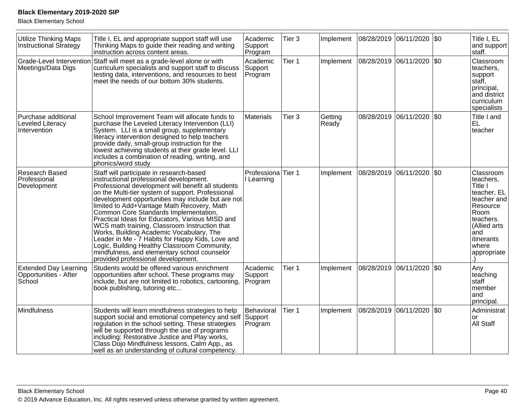| <b>Utilize Thinking Maps</b><br><b>Instructional Strategy</b>   | Title I, EL and appropriate support staff will use<br>Thinking Maps to guide their reading and writing<br>instruction across content areas.                                                                                                                                                                                                                                                                                                                                                                                                                                                                                                                                          | Academic<br>Support<br>Program   | Tier 3            | Implement        |                       | 08/28/2019 06/11/2020       | <b>SO</b>    | Title I, EL<br>and support<br>staff.                                                                                                                          |
|-----------------------------------------------------------------|--------------------------------------------------------------------------------------------------------------------------------------------------------------------------------------------------------------------------------------------------------------------------------------------------------------------------------------------------------------------------------------------------------------------------------------------------------------------------------------------------------------------------------------------------------------------------------------------------------------------------------------------------------------------------------------|----------------------------------|-------------------|------------------|-----------------------|-----------------------------|--------------|---------------------------------------------------------------------------------------------------------------------------------------------------------------|
| Meetings/Data Digs                                              | Grade-Level Intervention Staff will meet as a grade-level alone or with<br>curriculum specialists and support staff to discuss<br>testing data, interventions, and resources to best<br>meet the needs of our bottom 30% students.                                                                                                                                                                                                                                                                                                                                                                                                                                                   | Academic<br>Support<br>Program   | Tier 1            | Implement        |                       | 08/28/2019  06/11/2020  \$0 |              | Classroom<br>teachers.<br>support<br>staff,<br>principal,<br>and district<br>curriculum<br>specialists                                                        |
| Purchase additional<br><b>Leveled Literacy</b><br>Intervention  | School Improvement Team will allocate funds to<br>purchase the Leveled Literacy Intervention (LLI)<br>System. LLI is a small group, supplementary<br>literacy intervention designed to help teachers<br>provide daily, small-group instruction for the<br>lowest achieving students at their grade level. LLI<br>includes a combination of reading, writing, and<br>phonics/word study                                                                                                                                                                                                                                                                                               | <b>Materials</b>                 | Tier <sub>3</sub> | Getting<br>Ready |                       | 08/28/2019 06/11/2020       | $ 30\rangle$ | Title I and<br>EL<br>teacher                                                                                                                                  |
| Research Based<br>Professional<br>Development                   | Staff will participate in research-based<br>instructional professional development.<br>Professional development will benefit all students<br>on the Multi-tier system of support. Professional<br>development opportunities may include but are not<br>limited to Add+Vantage Math Recovery, Math<br>Common Core Standards Implementation,<br>Practical Ideas for Educators, Various MISD and<br>WCS math training, Classroom Instruction that<br>Works, Building Academic Vocabulary, The<br>Leader in Me - 7 Habits for Happy Kids, Love and<br>Logic, Building Healthy Classroom Community,<br>mindfulness, and elementary school counselor<br>provided professional development. | Professiona Tier 1<br>Learning   |                   | Implement        | 08/28/2019 06/11/2020 |                             | <b>SO</b>    | Classroom<br>teachers.<br>Title I<br>teacher, EL<br>teacher and<br>Resource<br>Room<br>teachers.<br>(Allied arts<br>and<br>itinerants<br>where<br>appropriate |
| <b>Extended Day Learning</b><br>Opportunities - After<br>School | Students would be offered various enrichment<br>opportunities after school. These programs may<br>include, but are not limited to robotics, cartooning,<br>book publishing, tutoring etc                                                                                                                                                                                                                                                                                                                                                                                                                                                                                             | Academic<br>Support<br>Program   | Tier 1            | Implement        |                       | 08/28/2019 06/11/2020 \$0   |              | Any<br>teaching<br>staff<br>member<br>and<br>principal.                                                                                                       |
| Mindfulness                                                     | Students will learn mindfulness strategies to help<br>support social and emotional competency and self<br>regulation in the school setting. These strategies<br>will be supported through the use of programs<br>including: Restorative Justice and Play works,<br>Class Dojo Mindfulness lessons, Calm App., as<br>well as an understanding of cultural competency.                                                                                                                                                                                                                                                                                                                 | Behavioral<br>Support<br>Program | Tier 1            | Implement        |                       | 08/28/2019 06/11/2020       | \$0          | Administrat<br>or<br>All Staff                                                                                                                                |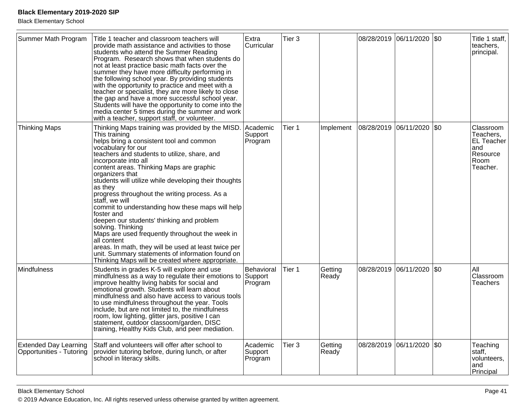| Summer Math Program                                      | Title 1 teacher and classroom teachers will<br>provide math assistance and activities to those<br>students who attend the Summer Reading<br>Program. Research shows that when students do<br>not at least practice basic math facts over the<br>summer they have more difficulty performing in<br>the following school year. By providing students<br>with the opportunity to practice and meet with a<br>teacher or specialist, they are more likely to close<br>the gap and have a more successful school year.<br>Students will have the opportunity to come into the<br>media center 5 times during the summer and work<br>with a teacher, support staff, or volunteer.                                                                                                             | Extra<br>Curricular              | Tier <sub>3</sub> |                  |                             | 08/28/2019 06/11/2020 \$0 |             | Title 1 staff,<br>teachers,<br>principal.                                          |
|----------------------------------------------------------|-----------------------------------------------------------------------------------------------------------------------------------------------------------------------------------------------------------------------------------------------------------------------------------------------------------------------------------------------------------------------------------------------------------------------------------------------------------------------------------------------------------------------------------------------------------------------------------------------------------------------------------------------------------------------------------------------------------------------------------------------------------------------------------------|----------------------------------|-------------------|------------------|-----------------------------|---------------------------|-------------|------------------------------------------------------------------------------------|
| <b>Thinking Maps</b>                                     | Thinking Maps training was provided by the MISD.<br>This training<br>helps bring a consistent tool and common<br>vocabulary for our<br>teachers and students to utilize, share, and<br>incorporate into all<br>content areas. Thinking Maps are graphic<br>organizers that<br>students will utilize while developing their thoughts<br>as they<br>progress throughout the writing process. As a<br>staff, we will<br>commit to understanding how these maps will help<br>foster and<br>deepen our students' thinking and problem<br>solving. Thinking<br>Maps are used frequently throughout the week in<br>all content<br>areas. In math, they will be used at least twice per<br>unit. Summary statements of information found on<br>Thinking Maps will be created where appropriate. | lAcademic<br>Support<br>Program  | Tier 1            | Implement        | 08/28/2019  06/11/2020  \$0 |                           |             | Classroom<br>Teachers,<br><b>EL Teacher</b><br>and<br>Resource<br>Room<br>Teacher. |
| <b>Mindfulness</b>                                       | Students in grades K-5 will explore and use<br>mindfulness as a way to regulate their emotions to<br>improve healthy living habits for social and<br>emotional growth. Students will learn about<br>mindfulness and also have access to various tools<br>to use mindfulness throughout the year. Tools<br>include, but are not limited to, the mindfulness<br>room, low lighting, glitter jars, positive I can<br>statement, outdoor classoom/garden, DISC<br>training, Healthy Kids Club, and peer mediation.                                                                                                                                                                                                                                                                          | Behavioral<br>Support<br>Program | Tier 1            | Getting<br>Ready | 08/28/2019 06/11/2020       |                           | $\sqrt{50}$ | All<br>Classroom<br>Teachers                                                       |
| <b>Extended Day Learning</b><br>Opportunities - Tutoring | Staff and volunteers will offer after school to<br>provider tutoring before, during lunch, or after<br>school in literacy skills.                                                                                                                                                                                                                                                                                                                                                                                                                                                                                                                                                                                                                                                       | Academic<br>Support<br>Program   | Tier <sub>3</sub> | Getting<br>Ready | 08/28/2019                  | 06/11/2020                | \$0         | Teaching<br>staff,<br>volunteers,<br>and<br>Principal                              |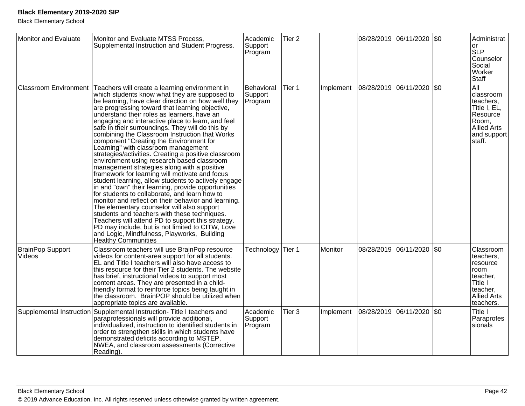| Monitor and Evaluate              | Monitor and Evaluate MTSS Process,<br>Supplemental Instruction and Student Progress.                                                                                                                                                                                                                                                                                                                                                                                                                                                                                                                                                                                                                                                                                                                                                                                                                                                                                                                                                                                                                                                                                                                                 | Academic<br>Support<br>Program   | Tier <sub>2</sub> |           |                           | 08/28/2019 06/11/2020 \$0 |           | Administrat<br><b>or</b><br><b>SLP</b><br>Counselor<br>Social<br>Worker<br>Staff                                  |
|-----------------------------------|----------------------------------------------------------------------------------------------------------------------------------------------------------------------------------------------------------------------------------------------------------------------------------------------------------------------------------------------------------------------------------------------------------------------------------------------------------------------------------------------------------------------------------------------------------------------------------------------------------------------------------------------------------------------------------------------------------------------------------------------------------------------------------------------------------------------------------------------------------------------------------------------------------------------------------------------------------------------------------------------------------------------------------------------------------------------------------------------------------------------------------------------------------------------------------------------------------------------|----------------------------------|-------------------|-----------|---------------------------|---------------------------|-----------|-------------------------------------------------------------------------------------------------------------------|
| <b>Classroom Environment</b>      | Teachers will create a learning environment in<br>which students know what they are supposed to<br>be learning, have clear direction on how well they<br>are progressing toward that learning objective,<br>understand their roles as learners, have an<br>engaging and interactive place to learn, and feel<br>safe in their surroundings. They will do this by<br>combining the Classroom Instruction that Works<br>component "Creating the Environment for<br>Learning" with classroom management<br>strategies/activities. Creating a positive classroom<br>environment using research based classroom<br>management strategies along with a positive<br>framework for learning will motivate and focus<br>student learning, allow students to actively engage<br>in and "own" their learning, provide opportunities<br>for students to collaborate, and learn how to<br>monitor and reflect on their behavior and learning.<br>The elementary counselor will also support<br>students and teachers with these techniques.<br>Teachers will attend PD to support this strategy.<br>PD may include, but is not limited to CITW, Love<br>and Logic, Mindfulness, Playworks, Building<br><b>Healthy Communities</b> | Behavioral<br>Support<br>Program | Tier 1            | Implement | 08/28/2019                | 06/11/2020                | <b>SO</b> | All<br>classroom<br>teachers,<br>Title I, EL,<br>Resource<br>Room,<br><b>Allied Arts</b><br>and support<br>staff. |
| <b>BrainPop Support</b><br>Videos | Classroom teachers will use BrainPop resource<br>videos for content-area support for all students.<br>EL and Title I teachers will also have access to<br>this resource for their Tier 2 students. The website<br>has brief, instructional videos to support most<br>content areas. They are presented in a child-<br>friendly format to reinforce topics being taught in<br>the classroom. BrainPOP should be utilized when<br>appropriate topics are available.                                                                                                                                                                                                                                                                                                                                                                                                                                                                                                                                                                                                                                                                                                                                                    | Technology Tier 1                |                   | Monitor   | 08/28/2019                | 06/11/2020                | <b>SO</b> | Classroom<br>teachers,<br>resource<br>room<br>teacher,<br>Title I<br>teacher,<br><b>Allied Arts</b><br>teachers.  |
|                                   | Supplemental Instruction Supplemental Instruction-Title I teachers and<br>paraprofessionals will provide additional,<br>individualized, instruction to identified students in<br>order to strengthen skills in which students have<br>demonstrated deficits according to MSTEP,<br>NWEA, and classroom assessments (Corrective<br>Reading).                                                                                                                                                                                                                                                                                                                                                                                                                                                                                                                                                                                                                                                                                                                                                                                                                                                                          | Academic<br>Support<br>Program   | Tier 3            | Implement | 08/28/2019 06/11/2020 \$0 |                           |           | Title I<br>Paraprofes<br>sionals                                                                                  |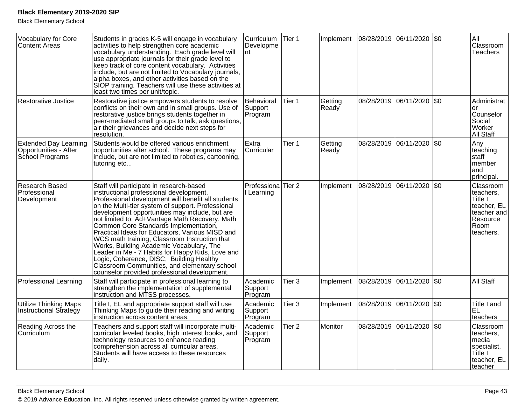| Vocabulary for Core<br><b>Content Areas</b>                              | Students in grades K-5 will engage in vocabulary<br>activities to help strengthen core academic<br>vocabulary understanding. Each grade level will<br>use appropriate journals for their grade level to<br>keep track of core content vocabulary. Activities<br>include, but are not limited to Vocabulary journals,<br>alpha boxes, and other activities based on the<br>SIOP training. Teachers will use these activities at<br>least two times per unit/topic.                                                                                                                                                                                                                           | <b>Curriculum</b><br>Developme<br>Int | Tier 1            | Implement        |            | 08/28/2019 06/11/2020       | \$0     | All<br>Classroom<br>Teachers                                                                     |
|--------------------------------------------------------------------------|---------------------------------------------------------------------------------------------------------------------------------------------------------------------------------------------------------------------------------------------------------------------------------------------------------------------------------------------------------------------------------------------------------------------------------------------------------------------------------------------------------------------------------------------------------------------------------------------------------------------------------------------------------------------------------------------|---------------------------------------|-------------------|------------------|------------|-----------------------------|---------|--------------------------------------------------------------------------------------------------|
| <b>Restorative Justice</b>                                               | Restorative justice empowers students to resolve<br>conflicts on their own and in small groups. Use of<br>restorative justice brings students together in<br>peer-mediated small groups to talk, ask questions,<br>air their grievances and decide next steps for<br>resolution.                                                                                                                                                                                                                                                                                                                                                                                                            | Behavioral<br>Support<br>Program      | Tier 1            | Getting<br>Ready |            | 08/28/2019 06/11/2020       | $ $ \$0 | Administrat<br>or<br>Counselor<br>Social<br>Worker<br>All Staff                                  |
| <b>Extended Day Learning</b><br>Opportunities - After<br>School Programs | Students would be offered various enrichment<br>opportunities after school. These programs may<br>include, but are not limited to robotics, cartooning,<br>tutoring etc                                                                                                                                                                                                                                                                                                                                                                                                                                                                                                                     | Extra<br>Curricular                   | Tier 1            | Getting<br>Ready |            | 08/28/2019 06/11/2020 \$0   |         | Any<br>teaching<br>staff<br>member<br>and<br>principal.                                          |
| Research Based<br>Professional<br>Development                            | Staff will participate in research-based<br>instructional professional development.<br>Professional development will benefit all students<br>on the Multi-tier system of support. Professional<br>development opportunities may include, but are<br>not limited to: Ad+Vantage Math Recovery, Math<br>Common Core Standards Implementation,<br>Practical Ideas for Educators, Various MISD and<br>WCS math training, Classroom Instruction that<br>Works, Building Academic Vocabulary, The<br>Leader in Me - 7 Habits for Happy Kids, Love and<br>Logic, Coherence, DISC, Building Healthy<br>Classroom Communities, and elementary school<br>counselor provided professional development. | Professiona<br>I Learning             | Tier <sub>2</sub> | Implement        | 08/28/2019 | 06/11/2020                  | l\$0    | Classroom<br>teachers,<br>Title I<br>teacher, EL<br>teacher and<br>Resource<br>Room<br>teachers. |
| <b>Professional Learning</b>                                             | Staff will participate in professional learning to<br>strengthen the implementation of supplemental<br>instruction and MTSS processes.                                                                                                                                                                                                                                                                                                                                                                                                                                                                                                                                                      | Academic<br>Support<br>Program        | Tier <sub>3</sub> | Implement        |            | 08/28/2019  06/11/2020  \$0 |         | All Staff                                                                                        |
| <b>Utilize Thinking Maps</b><br>Instructional Strategy                   | Title I, EL and appropriate support staff will use<br>Thinking Maps to guide their reading and writing<br>instruction across content areas.                                                                                                                                                                                                                                                                                                                                                                                                                                                                                                                                                 | Academic<br>Support<br>Program        | Tier <sub>3</sub> | Implement        |            | 08/28/2019 06/11/2020       | \$0     | Title I and<br><b>EL</b><br>teachers                                                             |
| Reading Across the<br>Curriculum                                         | Teachers and support staff will incorporate multi-<br>curricular leveled books, high interest books, and<br>technology resources to enhance reading<br>comprehension across all curricular areas.<br>Students will have access to these resources<br>daily.                                                                                                                                                                                                                                                                                                                                                                                                                                 | Academic<br>Support<br>Program        | Tier <sub>2</sub> | <b>Monitor</b>   |            | 08/28/2019 06/11/2020 \$0   |         | Classroom<br>teachers,<br>media<br>specialist,<br>Title I<br>teacher, EL<br>teacher              |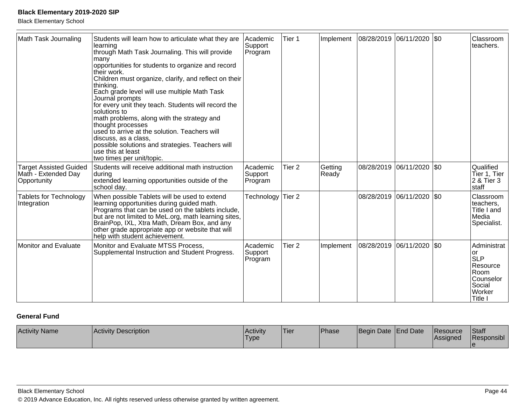Black Elementary School

| Math Task Journaling                                                | Students will learn how to articulate what they are<br>learning<br>through Math Task Journaling. This will provide<br><b>many</b><br>opportunities for students to organize and record<br>their work.<br>Children must organize, clarify, and reflect on their<br>thinking.<br>Each grade level will use multiple Math Task<br>Journal prompts<br>for every unit they teach. Students will record the<br>Isolutions to<br>math problems, along with the strategy and<br>thought processes<br>used to arrive at the solution. Teachers will<br>discuss, as a class,<br>possible solutions and strategies. Teachers will<br>use this at least<br>two times per unit/topic. | Academic<br>Support<br>Program | Tier 1            | Implement        |            | 08/28/2019 06/11/2020 \$0   | Classroom<br>teachers.                                                                           |
|---------------------------------------------------------------------|--------------------------------------------------------------------------------------------------------------------------------------------------------------------------------------------------------------------------------------------------------------------------------------------------------------------------------------------------------------------------------------------------------------------------------------------------------------------------------------------------------------------------------------------------------------------------------------------------------------------------------------------------------------------------|--------------------------------|-------------------|------------------|------------|-----------------------------|--------------------------------------------------------------------------------------------------|
| <b>Target Assisted Guided</b><br>Math - Extended Day<br>Opportunity | Students will receive additional math instruction<br>during<br>extended learning opportunities outside of the<br>school day.                                                                                                                                                                                                                                                                                                                                                                                                                                                                                                                                             | Academic<br>Support<br>Program | Tier <sub>2</sub> | Getting<br>Ready |            | 08/28/2019  06/11/2020  \$0 | Qualified<br>Tier 1, Tier<br>2 & Tier 3<br>staff                                                 |
| <b>Tablets for Technology</b><br>Integration                        | When possible Tablets will be used to extend<br>learning opportunities during guided math.<br>Programs that can be used on the tablets include,<br>but are not limited to MeL.org, math learning sites,<br>BrainPop, IXL, Xtra Math, Dream Box, and any<br>other grade appropriate app or website that will<br>help with student achievement.                                                                                                                                                                                                                                                                                                                            | Technology                     | Tier <sub>2</sub> |                  | 08/28/2019 | $ 06/11/2020 $ \$0          | Classroom<br>teachers,<br>Title I and<br>Media<br>Specialist.                                    |
| <b>Monitor and Evaluate</b>                                         | Monitor and Evaluate MTSS Process,<br>Supplemental Instruction and Student Progress.                                                                                                                                                                                                                                                                                                                                                                                                                                                                                                                                                                                     | Academic<br>Support<br>Program | Tier <sub>2</sub> | Implement        |            | 08/28/2019  06/11/2020  \$0 | Administrat<br>lor<br><b>SLP</b><br>Resource<br>Room<br>Counselor<br>Social<br>Worker<br>Title I |

## **General Fund**

| <b>Activity Name</b> | Activity Description | Activity<br>'Type | Tier | Phase | Begin Date End Date |  | <b>Resource</b><br>Assigned | <b>Staff</b><br>Responsibl |
|----------------------|----------------------|-------------------|------|-------|---------------------|--|-----------------------------|----------------------------|
|----------------------|----------------------|-------------------|------|-------|---------------------|--|-----------------------------|----------------------------|